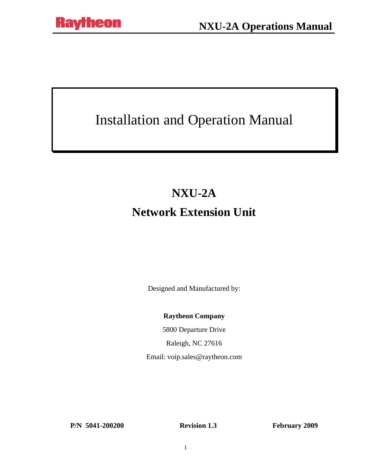## Installation and Operation Manual

## **NXU-2A Network Extension Unit**

Designed and Manufactured by:

#### **Raytheon Company**

5800 Departure Drive

Raleigh, NC 27616

Email: voip.sales@raytheon.com

**P/N 5041-200200 Revision 1.3 February 2009**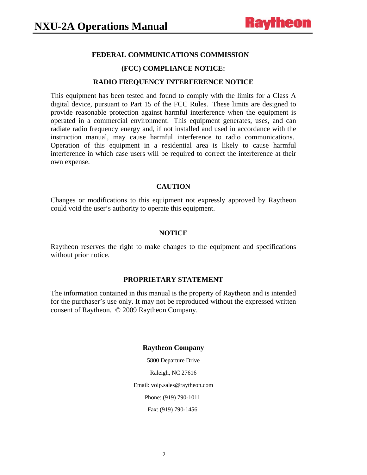#### **FEDERAL COMMUNICATIONS COMMISSION**

#### **(FCC) COMPLIANCE NOTICE:**

#### **RADIO FREQUENCY INTERFERENCE NOTICE**

This equipment has been tested and found to comply with the limits for a Class A digital device, pursuant to Part 15 of the FCC Rules. These limits are designed to provide reasonable protection against harmful interference when the equipment is operated in a commercial environment. This equipment generates, uses, and can radiate radio frequency energy and, if not installed and used in accordance with the instruction manual, may cause harmful interference to radio communications. Operation of this equipment in a residential area is likely to cause harmful interference in which case users will be required to correct the interference at their own expense.

#### **CAUTION**

Changes or modifications to this equipment not expressly approved by Raytheon could void the user's authority to operate this equipment.

#### **NOTICE**

Raytheon reserves the right to make changes to the equipment and specifications without prior notice.

#### **PROPRIETARY STATEMENT**

The information contained in this manual is the property of Raytheon and is intended for the purchaser's use only. It may not be reproduced without the expressed written consent of Raytheon. © 2009 Raytheon Company.

#### **Raytheon Company**

5800 Departure Drive Raleigh, NC 27616 Email: voip.sales@raytheon.com Phone: (919) 790-1011 Fax: (919) 790-1456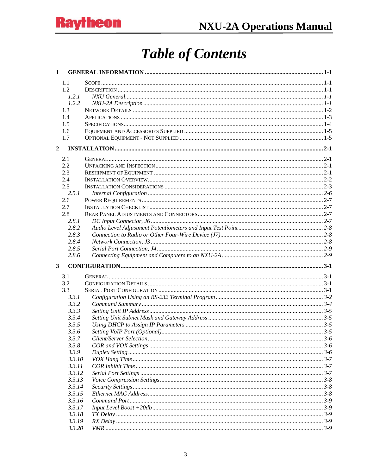# **Table of Contents**

| $\mathbf{1}$ |                  |  |
|--------------|------------------|--|
|              | 1.1              |  |
|              | 1.2              |  |
|              | 1.2.1            |  |
|              | 1.2.2            |  |
|              | 1.3              |  |
|              | 1.4              |  |
|              | 1.5              |  |
|              | 1.6              |  |
|              | 1.7              |  |
| $\mathbf{2}$ |                  |  |
|              | 2.1              |  |
|              | 2.2              |  |
|              | 2.3              |  |
|              | 2.4              |  |
|              | 2.5              |  |
|              | 2.5.1            |  |
|              | 2.6              |  |
|              | 2.7              |  |
|              | 2.8              |  |
|              | 2.8.1            |  |
|              | 2.8.2            |  |
|              | 2.8.3            |  |
|              | 2.8.4            |  |
|              | 2.8.5            |  |
|              | 2.8.6            |  |
|              |                  |  |
|              |                  |  |
| 3            |                  |  |
|              | 3.1              |  |
|              | 3.2              |  |
|              | 3.3              |  |
|              | 3.3.1            |  |
|              | 3.3.2            |  |
|              | 3.3.3            |  |
|              | 3.3.4            |  |
|              | 3.3.5            |  |
|              | 3.3.6            |  |
|              | 3.3.7            |  |
|              | 3.3.8            |  |
|              | 3.3.9            |  |
|              | 3.3.10           |  |
|              | 3.3.11           |  |
|              | 3.3.12           |  |
|              | 3.3.13           |  |
|              | 3.3.14           |  |
|              | 3.3.15           |  |
|              | 3.3.16           |  |
|              | 3.3.17<br>3.3.18 |  |
|              | 3.3.19           |  |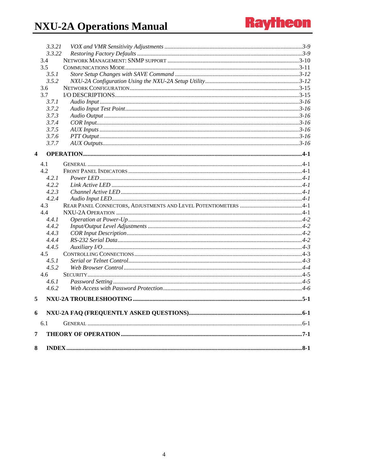|                         | 3.3.21        |       |
|-------------------------|---------------|-------|
|                         | 3.3.22        |       |
|                         | 3.4           |       |
|                         | 3.5           |       |
|                         | 3.5.1         |       |
|                         | 3.5.2         |       |
|                         | 3.6           |       |
|                         | 3.7           |       |
|                         | 3.7.1         |       |
|                         | 3.7.2         |       |
|                         | 3.7.3         |       |
|                         | 3.7.4         |       |
|                         | 3.7.5         |       |
|                         | 3.7.6         |       |
|                         | 3.7.7         |       |
| $\overline{\mathbf{4}}$ |               |       |
|                         | 4.1           |       |
|                         | 4.2           |       |
|                         | 4.2.1         |       |
|                         | 4.2.2         |       |
|                         | 4.2.3         |       |
|                         | 4.2.4         |       |
|                         | 4.3           |       |
|                         | 4.4           |       |
|                         | 4.4.1         |       |
|                         | 4.4.2         |       |
|                         | 4.4.3         |       |
|                         | 4.4.4         |       |
|                         | 4.4.5         |       |
|                         | 4.5           |       |
|                         | 4.5.1         |       |
|                         | 4.5.2         |       |
|                         | $4.6^{\circ}$ |       |
|                         | 4.6.1         |       |
|                         | 4.6.2         |       |
| 5                       |               |       |
| 6                       |               |       |
|                         | 6.1           |       |
| 7                       |               |       |
| 8                       | <b>INDEX</b>  | . 8-1 |
|                         |               |       |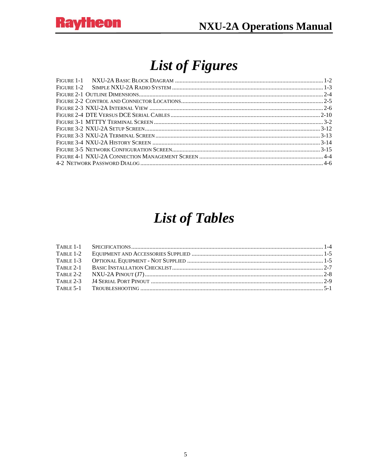

## **List of Figures**

## **List of Tables**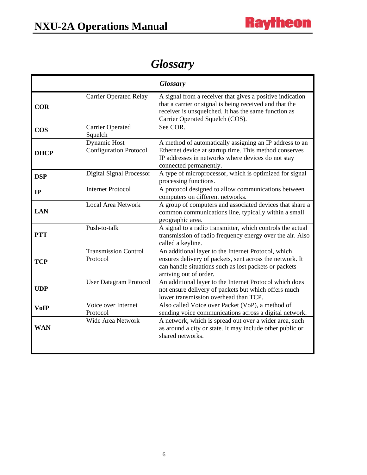|             |                                                      | <b>Glossary</b>                                                                                                                                                                                                 |
|-------------|------------------------------------------------------|-----------------------------------------------------------------------------------------------------------------------------------------------------------------------------------------------------------------|
| <b>COR</b>  | <b>Carrier Operated Relay</b>                        | A signal from a receiver that gives a positive indication<br>that a carrier or signal is being received and that the<br>receiver is unsquelched. It has the same function as<br>Carrier Operated Squelch (COS). |
| <b>COS</b>  | <b>Carrier Operated</b><br>Squelch                   | See COR.                                                                                                                                                                                                        |
| <b>DHCP</b> | <b>Dynamic Host</b><br><b>Configuration Protocol</b> | A method of automatically assigning an IP address to an<br>Ethernet device at startup time. This method conserves<br>IP addresses in networks where devices do not stay<br>connected permanently.               |
| <b>DSP</b>  | <b>Digital Signal Processor</b>                      | A type of microprocessor, which is optimized for signal<br>processing functions.                                                                                                                                |
| IP          | <b>Internet Protocol</b>                             | A protocol designed to allow communications between<br>computers on different networks.                                                                                                                         |
| <b>LAN</b>  | <b>Local Area Network</b>                            | A group of computers and associated devices that share a<br>common communications line, typically within a small<br>geographic area.                                                                            |
| <b>PTT</b>  | Push-to-talk                                         | A signal to a radio transmitter, which controls the actual<br>transmission of radio frequency energy over the air. Also<br>called a keyline.                                                                    |
| <b>TCP</b>  | <b>Transmission Control</b><br>Protocol              | An additional layer to the Internet Protocol, which<br>ensures delivery of packets, sent across the network. It<br>can handle situations such as lost packets or packets<br>arriving out of order.              |
| <b>UDP</b>  | <b>User Datagram Protocol</b>                        | An additional layer to the Internet Protocol which does<br>not ensure delivery of packets but which offers much<br>lower transmission overhead than TCP.                                                        |
| <b>VoIP</b> | Voice over Internet<br>Protocol                      | Also called Voice over Packet (VoP), a method of<br>sending voice communications across a digital network.                                                                                                      |
| <b>WAN</b>  | <b>Wide Area Network</b>                             | A network, which is spread out over a wider area, such<br>as around a city or state. It may include other public or<br>shared networks.                                                                         |
|             |                                                      |                                                                                                                                                                                                                 |

## *Glossary*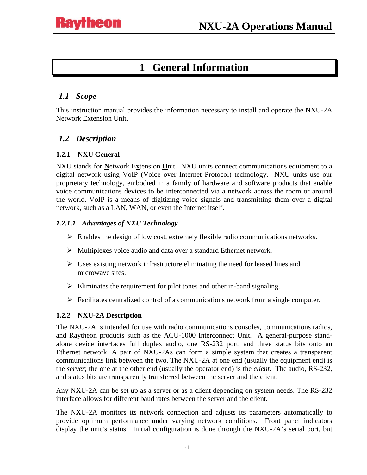### **1 General Information**

#### *1.1 Scope*

This instruction manual provides the information necessary to install and operate the NXU-2A Network Extension Unit.

#### *1.2 Description*

#### **1.2.1 NXU General**

NXU stands for **N**etwork E**x**tension **U**nit. NXU units connect communications equipment to a digital network using VoIP (Voice over Internet Protocol) technology. NXU units use our proprietary technology, embodied in a family of hardware and software products that enable voice communications devices to be interconnected via a network across the room or around the world. VoIP is a means of digitizing voice signals and transmitting them over a digital network, such as a LAN, WAN, or even the Internet itself.

#### *1.2.1.1 Advantages of NXU Technology*

- $\triangleright$  Enables the design of low cost, extremely flexible radio communications networks.
- ¾ Multiplexes voice audio and data over a standard Ethernet network.
- $\triangleright$  Uses existing network infrastructure eliminating the need for leased lines and microwave sites.
- $\triangleright$  Eliminates the requirement for pilot tones and other in-band signaling.
- ¾ Facilitates centralized control of a communications network from a single computer.

#### **1.2.2 NXU-2A Description**

The NXU-2A is intended for use with radio communications consoles, communications radios, and Raytheon products such as the ACU-1000 Interconnect Unit. A general-purpose standalone device interfaces full duplex audio, one RS-232 port, and three status bits onto an Ethernet network. A pair of NXU-2As can form a simple system that creates a transparent communications link between the two. The NXU-2A at one end (usually the equipment end) is the *server*; the one at the other end (usually the operator end) is the *client*. The audio, RS-232, and status bits are transparently transferred between the server and the client.

Any NXU-2A can be set up as a server or as a client depending on system needs. The RS-232 interface allows for different baud rates between the server and the client.

The NXU-2A monitors its network connection and adjusts its parameters automatically to provide optimum performance under varying network conditions. Front panel indicators display the unit's status. Initial configuration is done through the NXU-2A's serial port, but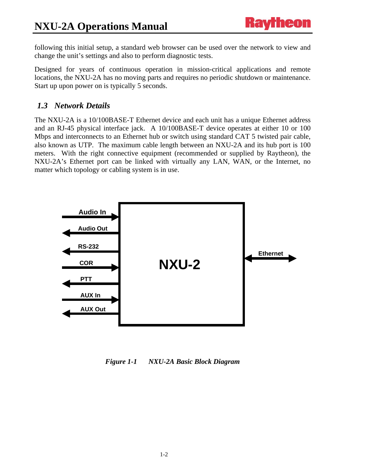following this initial setup, a standard web browser can be used over the network to view and change the unit's settings and also to perform diagnostic tests.

Designed for years of continuous operation in mission-critical applications and remote locations, the NXU-2A has no moving parts and requires no periodic shutdown or maintenance. Start up upon power on is typically 5 seconds.

#### *1.3 Network Details*

The NXU-2A is a 10/100BASE-T Ethernet device and each unit has a unique Ethernet address and an RJ-45 physical interface jack. A 10/100BASE-T device operates at either 10 or 100 Mbps and interconnects to an Ethernet hub or switch using standard CAT 5 twisted pair cable, also known as UTP. The maximum cable length between an NXU-2A and its hub port is 100 meters. With the right connective equipment (recommended or supplied by Raytheon), the NXU-2A's Ethernet port can be linked with virtually any LAN, WAN, or the Internet, no matter which topology or cabling system is in use.



*Figure 1-1 NXU-2A Basic Block Diagram*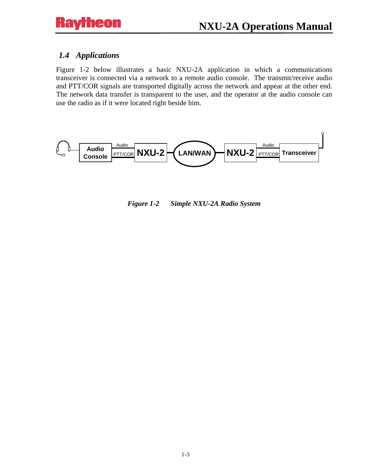#### *1.4 Applications*

Figure 1-2 below illustrates a basic NXU-2A application in which a communications transceiver is connected via a network to a remote audio console. The transmit/receive audio and PTT/COR signals are transported digitally across the network and appear at the other end. The network data transfer is transparent to the user, and the operator at the audio console can use the radio as if it were located right beside him.



*Figure 1-2 Simple NXU-2A Radio System*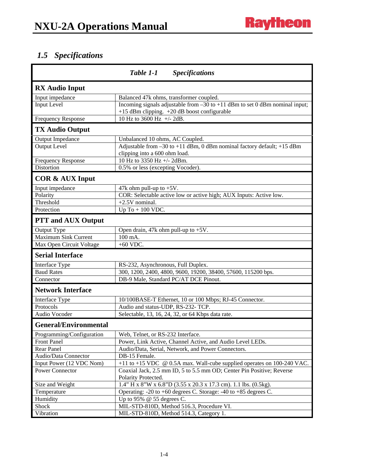### *1.5 Specifications*

|                              | Table 1-1<br><b>Specifications</b>                                              |
|------------------------------|---------------------------------------------------------------------------------|
| <b>RX</b> Audio Input        |                                                                                 |
| Input impedance              | Balanced 47k ohms, transformer coupled.                                         |
| Input Level                  | Incoming signals adjustable from $-30$ to $+11$ dBm to set 0 dBm nominal input; |
|                              | +15 dBm clipping. +20 dB boost configurable                                     |
| <b>Frequency Response</b>    | 10 Hz to 3600 Hz +/-2dB.                                                        |
| <b>TX Audio Output</b>       |                                                                                 |
| Output Impedance             | Unbalanced 10 ohms, AC Coupled.                                                 |
| Output Level                 | Adjustable from -30 to +11 dBm, 0 dBm nominal factory default; +15 dBm          |
|                              | clipping into a 600 ohm load.                                                   |
| <b>Frequency Response</b>    | 10 Hz to 3350 Hz +/- 2dBm.                                                      |
| Distortion                   | 0.5% or less (excepting Vocoder).                                               |
| <b>COR &amp; AUX Input</b>   |                                                                                 |
| Input impedance              | 47k ohm pull-up to $+5V$ .                                                      |
| Polarity                     | COR: Selectable active low or active high; AUX Inputs: Active low.              |
| Threshold                    | $+2.5V$ nominal.                                                                |
| Protection                   | $Up To + 100 VDC.$                                                              |
| <b>PTT</b> and AUX Output    |                                                                                 |
| Output Type                  | Open drain, 47k ohm pull-up to $+5V$ .                                          |
| <b>Maximum Sink Current</b>  | 100 mA.                                                                         |
| Max Open Circuit Voltage     | $+60$ VDC.                                                                      |
| <b>Serial Interface</b>      |                                                                                 |
| Interface Type               | RS-232, Asynchronous, Full Duplex.                                              |
| <b>Baud Rates</b>            | 300, 1200, 2400, 4800, 9600, 19200, 38400, 57600, 115200 bps.                   |
| Connector                    | DB-9 Male, Standard PC/AT DCE Pinout.                                           |
| <b>Network Interface</b>     |                                                                                 |
| Interface Type               | 10/100BASE-T Ethernet, 10 or 100 Mbps; RJ-45 Connector.                         |
| Protocols                    | Audio and status-UDP, RS-232- TCP.                                              |
| Audio Vocoder                | Selectable, 13, 16, 24, 32, or 64 Kbps data rate.                               |
| <b>General/Environmental</b> |                                                                                 |
| Programming/Configuration    | Web, Telnet, or RS-232 Interface.                                               |
| Front Panel                  | Power, Link Active, Channel Active, and Audio Level LEDs.                       |
| Rear Panel                   | Audio/Data, Serial, Network, and Power Connectors.                              |
| Audio/Data Connector         | DB-15 Female.                                                                   |
| Input Power (12 VDC Nom)     | +11 to +15 VDC $@$ 0.5A max. Wall-cube supplied operates on 100-240 VAC.        |
| <b>Power Connector</b>       | Coaxial Jack, 2.5 mm ID, 5 to 5.5 mm OD; Center Pin Positive; Reverse           |
|                              | Polarity Protected.                                                             |
| Size and Weight              | 1.4" H x 8"W x 6.8"D (3.55 x 20.3 x 17.3 cm). 1.1 lbs. (0.5kg).                 |
| Temperature                  | Operating: -20 to +60 degrees C. Storage: -40 to +85 degrees C.                 |
| Humidity                     | Up to 95% $@$ 55 degrees C.                                                     |
| Shock                        | MIL-STD-810D, Method 516.3, Procedure VI.                                       |
| Vibration                    | MIL-STD-810D, Method 514.3, Category 1.                                         |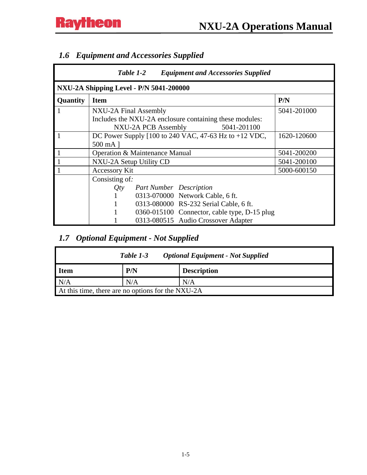|          | Table 1-2<br><b>Equipment and Accessories Supplied</b>                                        |             |
|----------|-----------------------------------------------------------------------------------------------|-------------|
|          | NXU-2A Shipping Level - P/N 5041-200000                                                       |             |
| Quantity | <b>Item</b>                                                                                   | P/N         |
|          | NXU-2A Final Assembly                                                                         | 5041-201000 |
|          | Includes the NXU-2A enclosure containing these modules:<br>NXU-2A PCB Assembly<br>5041-201100 |             |
|          | DC Power Supply $[100 \text{ to } 240 \text{ VAC}, 47-63 \text{ Hz to } +12 \text{ VDC},$     | 1620-120600 |
|          | 500 mA ]                                                                                      |             |
|          | Operation & Maintenance Manual                                                                | 5041-200200 |
|          | NXU-2A Setup Utility CD                                                                       | 5041-200100 |
|          | <b>Accessory Kit</b>                                                                          | 5000-600150 |
|          | Consisting of:                                                                                |             |
|          | <b>Part Number</b> Description<br>Qty                                                         |             |
|          | 0313-070000 Network Cable, 6 ft.                                                              |             |
|          | 0313-080000 RS-232 Serial Cable, 6 ft.                                                        |             |
|          | 0360-015100 Connector, cable type, D-15 plug                                                  |             |
|          | 0313-080515 Audio Crossover Adapter                                                           |             |

### *1.6 Equipment and Accessories Supplied*

### *1.7 Optional Equipment - Not Supplied*

|                                                   | Table 1-3 | <b>Optional Equipment - Not Supplied</b> |
|---------------------------------------------------|-----------|------------------------------------------|
| <b>Item</b>                                       | P/N       | <b>Description</b>                       |
| N/A                                               | N/A       | N/A                                      |
| At this time, there are no options for the NXU-2A |           |                                          |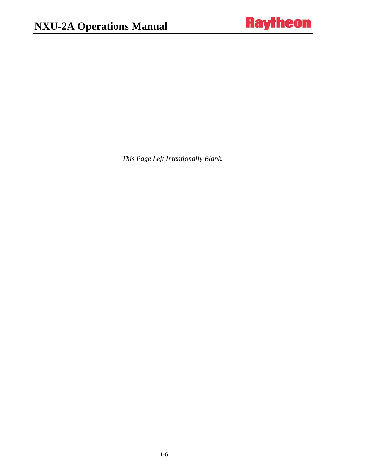*This Page Left Intentionally Blank.*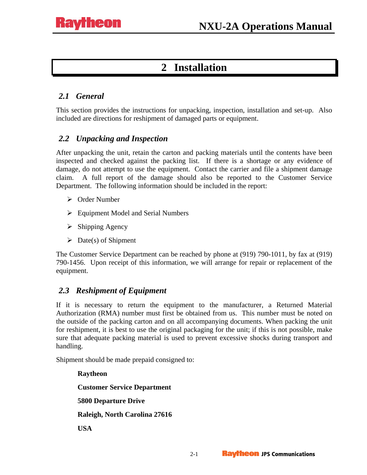### **2 Installation**

#### *2.1 General*

This section provides the instructions for unpacking, inspection, installation and set-up. Also included are directions for reshipment of damaged parts or equipment.

#### *2.2 Unpacking and Inspection*

After unpacking the unit, retain the carton and packing materials until the contents have been inspected and checked against the packing list. If there is a shortage or any evidence of damage, do not attempt to use the equipment. Contact the carrier and file a shipment damage claim. A full report of the damage should also be reported to the Customer Service Department. The following information should be included in the report:

- ¾ Order Number
- $\triangleright$  Equipment Model and Serial Numbers
- $\triangleright$  Shipping Agency
- $\triangleright$  Date(s) of Shipment

The Customer Service Department can be reached by phone at (919) 790-1011, by fax at (919) 790-1456. Upon receipt of this information, we will arrange for repair or replacement of the equipment.

#### *2.3 Reshipment of Equipment*

If it is necessary to return the equipment to the manufacturer, a Returned Material Authorization (RMA) number must first be obtained from us. This number must be noted on the outside of the packing carton and on all accompanying documents. When packing the unit for reshipment, it is best to use the original packaging for the unit; if this is not possible, make sure that adequate packing material is used to prevent excessive shocks during transport and handling.

Shipment should be made prepaid consigned to:

 **Raytheon Customer Service Department 5800 Departure Drive Raleigh, North Carolina 27616 USA**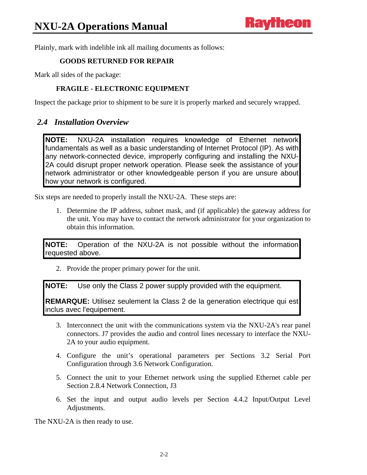Plainly, mark with indelible ink all mailing documents as follows:

#### **GOODS RETURNED FOR REPAIR**

Mark all sides of the package:

#### **FRAGILE - ELECTRONIC EQUIPMENT**

Inspect the package prior to shipment to be sure it is properly marked and securely wrapped.

#### *2.4 Installation Overview*

**NOTE:** NXU-2A installation requires knowledge of Ethernet network fundamentals as well as a basic understanding of Internet Protocol (IP). As with any network-connected device, improperly configuring and installing the NXU-2A could disrupt proper network operation. Please seek the assistance of your network administrator or other knowledgeable person if you are unsure about how your network is configured.

Six steps are needed to properly install the NXU-2A. These steps are:

1. Determine the IP address, subnet mask, and (if applicable) the gateway address for the unit. You may have to contact the network administrator for your organization to obtain this information.

**NOTE:** Operation of the NXU-2A is not possible without the information requested above.

2. Provide the proper primary power for the unit.

**NOTE:** Use only the Class 2 power supply provided with the equipment.

**REMARQUE:** Utilisez seulement la Class 2 de la generation electrique qui est inclus avec l'equipement.

- 3. Interconnect the unit with the communications system via the NXU-2A's rear panel connectors. J7 provides the audio and control lines necessary to interface the NXU-2A to your audio equipment.
- 4. Configure the unit's operational parameters per Sections 3.2 Serial Port Configuration through 3.6 Network Configuration.
- 5. Connect the unit to your Ethernet network using the supplied Ethernet cable per Section 2.8.4 Network Connection, J3
- 6. Set the input and output audio levels per Section 4.4.2 Input/Output Level Adjustments.

The NXU-2A is then ready to use.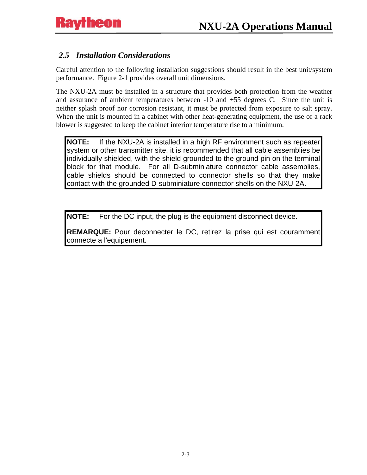#### *2.5 Installation Considerations*

Careful attention to the following installation suggestions should result in the best unit/system performance. Figure 2-1 provides overall unit dimensions.

The NXU-2A must be installed in a structure that provides both protection from the weather and assurance of ambient temperatures between -10 and +55 degrees C. Since the unit is neither splash proof nor corrosion resistant, it must be protected from exposure to salt spray. When the unit is mounted in a cabinet with other heat-generating equipment, the use of a rack blower is suggested to keep the cabinet interior temperature rise to a minimum.

**NOTE:** If the NXU-2A is installed in a high RF environment such as repeater system or other transmitter site, it is recommended that all cable assemblies be individually shielded, with the shield grounded to the ground pin on the terminal block for that module. For all D-subminiature connector cable assemblies, cable shields should be connected to connector shells so that they make contact with the grounded D-subminiature connector shells on the NXU-2A.

**NOTE:** For the DC input, the plug is the equipment disconnect device.

**REMARQUE:** Pour deconnecter le DC, retirez la prise qui est couramment connecte a l'equipement.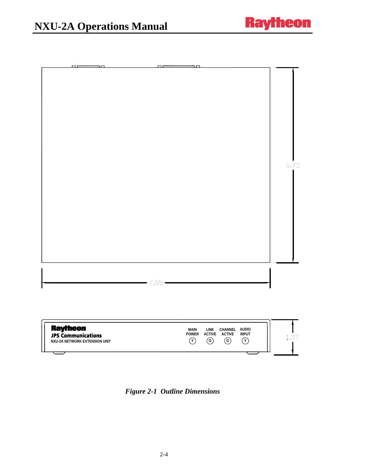

| <b>Raytheon</b><br><b>JPS Communications</b><br>NXU-2A NETWORK EXTENSION UNIT | CHANNEL AUDIO<br><b>MAIN</b><br>link<br><b>POWER</b><br>ACTIVE ACTIVE<br><b>INPUT</b><br>'G<br>G. |  |
|-------------------------------------------------------------------------------|---------------------------------------------------------------------------------------------------|--|
|                                                                               |                                                                                                   |  |

*Figure 2-1 Outline Dimensions*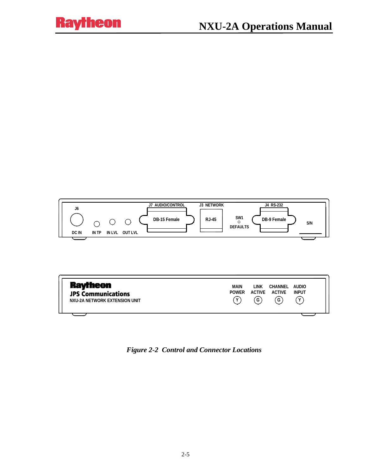



*Figure 2-2 Control and Connector Locations*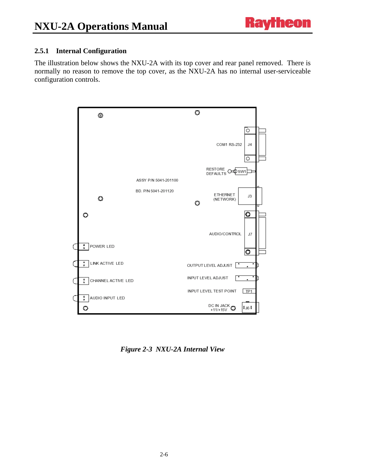#### **2.5.1 Internal Configuration**

The illustration below shows the NXU-2A with its top cover and rear panel removed. There is normally no reason to remove the top cover, as the NXU-2A has no internal user-serviceable configuration controls.



*Figure 2-3 NXU-2A Internal View*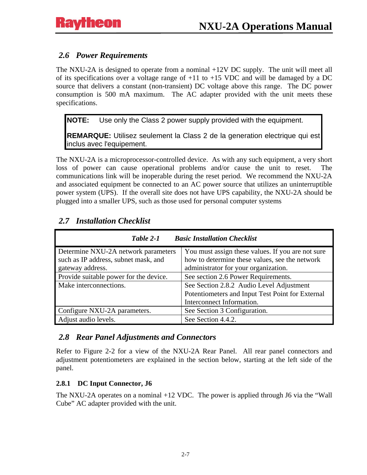### *2.6 Power Requirements*

The NXU-2A is designed to operate from a nominal +12V DC supply. The unit will meet all of its specifications over a voltage range of  $+11$  to  $+15$  VDC and will be damaged by a DC source that delivers a constant (non-transient) DC voltage above this range. The DC power consumption is 500 mA maximum. The AC adapter provided with the unit meets these specifications.

**NOTE:** Use only the Class 2 power supply provided with the equipment.

**REMARQUE:** Utilisez seulement la Class 2 de la generation electrique qui est inclus avec l'equipement.

The NXU-2A is a microprocessor-controlled device. As with any such equipment, a very short loss of power can cause operational problems and/or cause the unit to reset. The communications link will be inoperable during the reset period. We recommend the NXU-2A and associated equipment be connected to an AC power source that utilizes an uninterruptible power system (UPS). If the overall site does not have UPS capability, the NXU-2A should be plugged into a smaller UPS, such as those used for personal computer systems

| Table 2-1                              | <b>Basic Installation Checklist</b>               |
|----------------------------------------|---------------------------------------------------|
| Determine NXU-2A network parameters    | You must assign these values. If you are not sure |
| such as IP address, subnet mask, and   | how to determine these values, see the network    |
| gateway address.                       | administrator for your organization.              |
| Provide suitable power for the device. | See section 2.6 Power Requirements.               |
| Make interconnections.                 | See Section 2.8.2 Audio Level Adjustment          |
|                                        | Potentiometers and Input Test Point for External  |
|                                        | Interconnect Information.                         |
| Configure NXU-2A parameters.           | See Section 3 Configuration.                      |
| Adjust audio levels.                   | See Section 4.4.2.                                |

### *2.7 Installation Checklist*

#### *2.8 Rear Panel Adjustments and Connectors*

Refer to Figure 2-2 for a view of the NXU-2A Rear Panel. All rear panel connectors and adjustment potentiometers are explained in the section below, starting at the left side of the panel.

#### **2.8.1 DC Input Connector, J6**

The NXU-2A operates on a nominal +12 VDC. The power is applied through J6 via the "Wall Cube" AC adapter provided with the unit.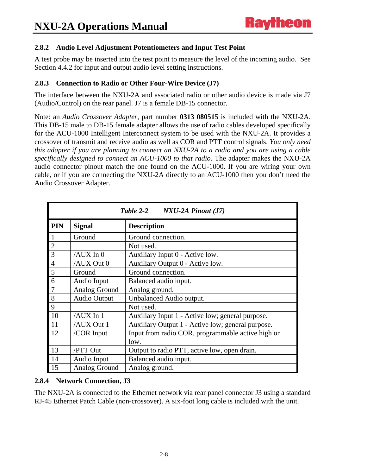#### **2.8.2 Audio Level Adjustment Potentiometers and Input Test Point**

A test probe may be inserted into the test point to measure the level of the incoming audio. See Section 4.4.2 for input and output audio level setting instructions.

#### **2.8.3 Connection to Radio or Other Four-Wire Device (J7)**

The interface between the NXU-2A and associated radio or other audio device is made via J7 (Audio/Control) on the rear panel. J7 is a female DB-15 connector.

Note: an *Audio Crossover Adapter*, part number **0313 080515** is included with the NXU-2A. This DB-15 male to DB-15 female adapter allows the use of radio cables developed specifically for the ACU-1000 Intelligent Interconnect system to be used with the NXU-2A. It provides a crossover of transmit and receive audio as well as COR and PTT control signals. *You only need this adapter if you are planning to connect an NXU-2A to a radio and you are using a cable specifically designed to connect an ACU-1000 to that radio.* The adapter makes the NXU-2A audio connector pinout match the one found on the ACU-1000. If you are wiring your own cable, or if you are connecting the NXU-2A directly to an ACU-1000 then you don't need the Audio Crossover Adapter.

| Table 2-2<br>$NXU-2A Pinout (J7)$                 |                      |                                                   |  |
|---------------------------------------------------|----------------------|---------------------------------------------------|--|
| <b>PIN</b><br><b>Signal</b><br><b>Description</b> |                      |                                                   |  |
|                                                   | Ground               | Ground connection.                                |  |
| $\overline{2}$                                    |                      | Not used.                                         |  |
| 3                                                 | $/AUX$ In 0          | Auxiliary Input 0 - Active low.                   |  |
| $\overline{4}$                                    | /AUX Out 0           | Auxiliary Output 0 - Active low.                  |  |
| 5                                                 | Ground               | Ground connection.                                |  |
| 6                                                 | Audio Input          | Balanced audio input.                             |  |
| $\overline{7}$                                    | <b>Analog Ground</b> | Analog ground.                                    |  |
| 8                                                 | <b>Audio Output</b>  | Unbalanced Audio output.                          |  |
| 9                                                 |                      | Not used.                                         |  |
| 10                                                | /AUX In 1            | Auxiliary Input 1 - Active low; general purpose.  |  |
| 11                                                | /AUX Out 1           | Auxiliary Output 1 - Active low; general purpose. |  |
| 12                                                | /COR Input           | Input from radio COR, programmable active high or |  |
|                                                   |                      | low.                                              |  |
| 13                                                | /PTT Out             | Output to radio PTT, active low, open drain.      |  |
| 14                                                | Audio Input          | Balanced audio input.                             |  |
| 15                                                | Analog Ground        | Analog ground.                                    |  |

#### **2.8.4 Network Connection, J3**

The NXU-2A is connected to the Ethernet network via rear panel connector J3 using a standard RJ-45 Ethernet Patch Cable (non-crossover). A six-foot long cable is included with the unit.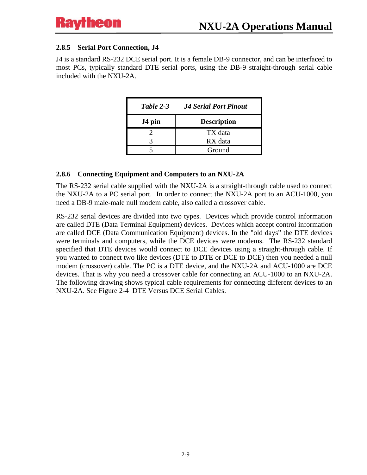#### **2.8.5 Serial Port Connection, J4**

J4 is a standard RS-232 DCE serial port. It is a female DB-9 connector, and can be interfaced to most PCs, typically standard DTE serial ports, using the DB-9 straight-through serial cable included with the NXU-2A.

| Table 2-3 | <b>J4 Serial Port Pinout</b> |
|-----------|------------------------------|
| J4 pin    | <b>Description</b>           |
|           | TX data                      |
|           | RX data                      |
|           | Ground                       |

#### **2.8.6 Connecting Equipment and Computers to an NXU-2A**

The RS-232 serial cable supplied with the NXU-2A is a straight-through cable used to connect the NXU-2A to a PC serial port. In order to connect the NXU-2A port to an ACU-1000, you need a DB-9 male-male null modem cable, also called a crossover cable.

RS-232 serial devices are divided into two types. Devices which provide control information are called DTE (Data Terminal Equipment) devices. Devices which accept control information are called DCE (Data Communication Equipment) devices. In the "old days" the DTE devices were terminals and computers, while the DCE devices were modems. The RS-232 standard specified that DTE devices would connect to DCE devices using a straight-through cable. If you wanted to connect two like devices (DTE to DTE or DCE to DCE) then you needed a null modem (crossover) cable. The PC is a DTE device, and the NXU-2A and ACU-1000 are DCE devices. That is why you need a crossover cable for connecting an ACU-1000 to an NXU-2A. The following drawing shows typical cable requirements for connecting different devices to an NXU-2A. See Figure 2-4 DTE Versus DCE Serial Cables.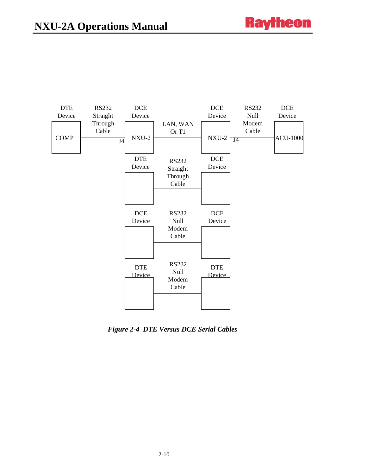

*Figure 2-4 DTE Versus DCE Serial Cables*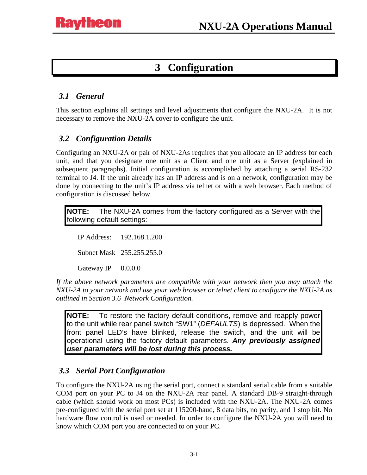### **3 Configuration**

### *3.1 General*

This section explains all settings and level adjustments that configure the NXU-2A. It is not necessary to remove the NXU-2A cover to configure the unit.

### *3.2 Configuration Details*

Configuring an NXU-2A or pair of NXU-2As requires that you allocate an IP address for each unit, and that you designate one unit as a Client and one unit as a Server (explained in subsequent paragraphs). Initial configuration is accomplished by attaching a serial RS-232 terminal to J4. If the unit already has an IP address and is on a network, configuration may be done by connecting to the unit's IP address via telnet or with a web browser. Each method of configuration is discussed below.

**NOTE:** The NXU-2A comes from the factory configured as a Server with the following default settings:

IP Address: 192.168.1.200 Subnet Mask 255.255.255.0 Gateway IP 0.0.0.0

*If the above network parameters are compatible with your network then you may attach the NXU-2A to your network and use your web browser or telnet client to configure the NXU-2A as outlined in Section 3.6 Network Configuration.* 

**NOTE:** To restore the factory default conditions, remove and reapply power to the unit while rear panel switch "SW1" (*DEFAULTS*) is depressed. When the front panel LED's have blinked, release the switch, and the unit will be operational using the factory default parameters. *Any previously assigned user parameters will be lost during this process.*

#### *3.3 Serial Port Configuration*

To configure the NXU-2A using the serial port, connect a standard serial cable from a suitable COM port on your PC to J4 on the NXU-2A rear panel. A standard DB-9 straight-through cable (which should work on most PCs) is included with the NXU-2A. The NXU-2A comes pre-configured with the serial port set at 115200-baud, 8 data bits, no parity, and 1 stop bit. No hardware flow control is used or needed. In order to configure the NXU-2A you will need to know which COM port you are connected to on your PC.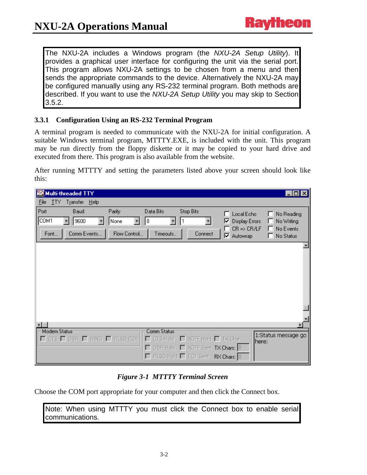The NXU-2A includes a Windows program (the *NXU-2A Setup Utility*). It provides a graphical user interface for configuring the unit via the serial port. This program allows NXU-2A settings to be chosen from a menu and then sends the appropriate commands to the device. Alternatively the NXU-2A may be configured manually using any RS-232 terminal program. Both methods are described. If you want to use the *NXU-2A Setup Utility* you may skip to Section 3.5.2.

#### **3.3.1 Configuration Using an RS-232 Terminal Program**

A terminal program is needed to communicate with the NXU-2A for initial configuration. A suitable Windows terminal program, MTTTY.EXE, is included with the unit. This program may be run directly from the floppy diskette or it may be copied to your hard drive and executed from there. This program is also available from the website.

After running MTTTY and setting the parameters listed above your screen should look like this:

|                |               | <b>Multi-threaded TTY</b>                   |             |        |              |    |                                      |                                 |   |                                    |        | $  \square   \square   \times  $ |  |
|----------------|---------------|---------------------------------------------|-------------|--------|--------------|----|--------------------------------------|---------------------------------|---|------------------------------------|--------|----------------------------------|--|
| Eile           | <b>ITY</b>    | Transfer                                    | He          |        |              |    |                                      |                                 |   |                                    |        |                                  |  |
| Port           |               | Baud                                        |             | Parity |              |    | Data Bits                            | Stop Bits                       |   | Local Echo                         |        | No Reading                       |  |
| COM1           |               | 9600                                        |             | None   |              | 18 |                                      |                                 | ⊽ | <b>Display Errors</b>              |        | No Writing                       |  |
|                | Font          |                                             | Comm Events |        | Flow Control |    | Timeouts                             | Connect                         | 罓 | $CR \Rightarrow CR/LF$<br>Autowrap |        | No Events<br>No Status           |  |
|                |               |                                             |             |        |              |    |                                      |                                 |   |                                    |        |                                  |  |
|                |               |                                             |             |        |              |    |                                      |                                 |   |                                    |        |                                  |  |
|                |               |                                             |             |        |              |    |                                      |                                 |   |                                    |        |                                  |  |
|                |               |                                             |             |        |              |    |                                      |                                 |   |                                    |        |                                  |  |
|                |               |                                             |             |        |              |    |                                      |                                 |   |                                    |        |                                  |  |
|                |               |                                             |             |        |              |    |                                      |                                 |   |                                    |        |                                  |  |
|                |               |                                             |             |        |              |    |                                      |                                 |   |                                    |        |                                  |  |
| $\blacksquare$ |               |                                             |             |        |              |    |                                      |                                 |   |                                    |        |                                  |  |
|                | Modem Status: |                                             |             |        |              |    | Comm Status:                         |                                 |   |                                    |        |                                  |  |
|                |               | CTS $\Box$ DSR $\Box$ RING $\Box$ RLSD (CD) |             |        |              |    | CTS Hold                             | $\Box$ XOFF Hold $\Box$ TX Char |   |                                    | lhere: | 1:Status message go              |  |
|                |               |                                             |             |        |              | г  | DSR Hold   XOFF Sent TX Chars: 0     |                                 |   |                                    |        |                                  |  |
|                |               |                                             |             |        |              |    | Fi RLSD Hold Fi EOF Sent RX Chars: 0 |                                 |   |                                    |        |                                  |  |

*Figure 3-1 MTTTY Terminal Screen* 

Choose the COM port appropriate for your computer and then click the Connect box.

Note: When using MTTTY you must click the Connect box to enable serial communications.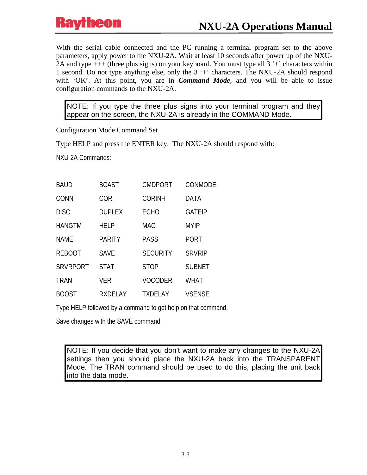### **Hayrneon MXU-2A Operations Manual**

With the serial cable connected and the PC running a terminal program set to the above parameters, apply power to the NXU-2A. Wait at least 10 seconds after power up of the NXU-2A and type +++ (three plus signs) on your keyboard. You must type all 3 '+' characters within 1 second. Do not type anything else, only the 3 '+' characters. The NXU-2A should respond with 'OK'. At this point, you are in *Command Mode*, and you will be able to issue configuration commands to the NXU-2A.

NOTE: If you type the three plus signs into your terminal program and they appear on the screen, the NXU-2A is already in the COMMAND Mode.

Configuration Mode Command Set

Type HELP and press the ENTER key. The NXU-2A should respond with:

NXU-2A Commands:

| <b>BAUD</b>     | <b>BCAST</b>   | <b>CMDPORT</b>  | CONMODE       |
|-----------------|----------------|-----------------|---------------|
| CONN            | COR            | <b>CORINH</b>   | DATA          |
| <b>DISC</b>     | <b>DUPLEX</b>  | <b>ECHO</b>     | <b>GATEIP</b> |
| <b>HANGTM</b>   | <b>HELP</b>    | <b>MAC</b>      | <b>MYIP</b>   |
| <b>NAME</b>     | <b>PARITY</b>  | <b>PASS</b>     | <b>PORT</b>   |
| <b>REBOOT</b>   | <b>SAVE</b>    | <b>SECURITY</b> | <b>SRVRIP</b> |
| <b>SRVRPORT</b> | <b>STAT</b>    | <b>STOP</b>     | <b>SUBNET</b> |
| <b>TRAN</b>     | VER            | <b>VOCODER</b>  | <b>WHAT</b>   |
| <b>BOOST</b>    | <b>RXDELAY</b> | <b>TXDELAY</b>  | <b>VSENSE</b> |

Type HELP followed by a command to get help on that command.

Save changes with the SAVE command.

NOTE: If you decide that you don't want to make any changes to the NXU-2A settings then you should place the NXU-2A back into the TRANSPARENT Mode. The TRAN command should be used to do this, placing the unit back into the data mode.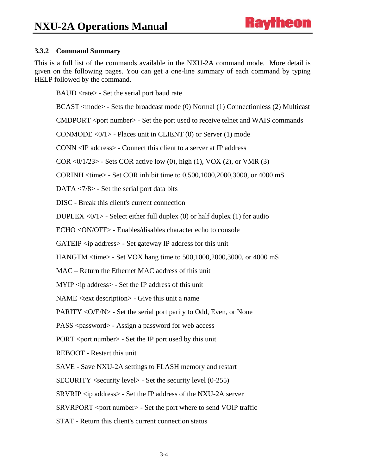#### **3.3.2 Command Summary**

This is a full list of the commands available in the NXU-2A command mode. More detail is given on the following pages. You can get a one-line summary of each command by typing HELP followed by the command.

BAUD <rate> - Set the serial port baud rate BCAST <mode> - Sets the broadcast mode (0) Normal (1) Connectionless (2) Multicast CMDPORT <port number> - Set the port used to receive telnet and WAIS commands CONMODE  $\langle 0/1 \rangle$  - Places unit in CLIENT (0) or Server (1) mode CONN <IP address> - Connect this client to a server at IP address COR  $\langle 0 \rangle$  1/23 > - Sets COR active low (0), high (1), VOX (2), or VMR (3) CORINH <time> - Set COR inhibit time to 0,500,1000,2000,3000, or 4000 mS DATA <7/8> - Set the serial port data bits DISC - Break this client's current connection DUPLEX  $\langle 0/1 \rangle$  - Select either full duplex (0) or half duplex (1) for audio ECHO <ON/OFF> - Enables/disables character echo to console GATEIP <ip address> - Set gateway IP address for this unit HANGTM <time> - Set VOX hang time to 500,1000,2000,3000, or 4000 mS MAC – Return the Ethernet MAC address of this unit  $MYIP < p>indress$  - Set the IP address of this unit NAME <text description> - Give this unit a name PARITY <O/E/N> - Set the serial port parity to Odd, Even, or None PASS <password> - Assign a password for web access PORT <port number> - Set the IP port used by this unit REBOOT - Restart this unit SAVE - Save NXU-2A settings to FLASH memory and restart SECURITY <security level> - Set the security level (0-255) SRVRIP <ip address> - Set the IP address of the NXU-2A server

SRVRPORT <port number> - Set the port where to send VOIP traffic

STAT - Return this client's current connection status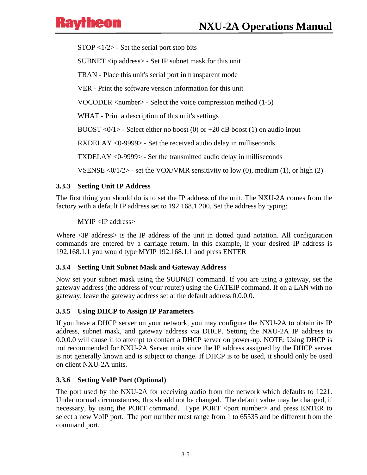$STOP < 1/2$  - Set the serial port stop bits

SUBNET <ip address> - Set IP subnet mask for this unit

TRAN - Place this unit's serial port in transparent mode

VER - Print the software version information for this unit

VOCODER <number> - Select the voice compression method (1-5)

WHAT - Print a description of this unit's settings

BOOST  $\langle 0/1 \rangle$  - Select either no boost (0) or +20 dB boost (1) on audio input

RXDELAY <0-9999> - Set the received audio delay in milliseconds

TXDELAY <0-9999> - Set the transmitted audio delay in milliseconds

VSENSE  $\langle 0/1/2 \rangle$  - set the VOX/VMR sensitivity to low (0), medium (1), or high (2)

#### **3.3.3 Setting Unit IP Address**

The first thing you should do is to set the IP address of the unit. The NXU-2A comes from the factory with a default IP address set to 192.168.1.200. Set the address by typing:

MYIP <IP address>

Where  $\leq$ IP address is the IP address of the unit in dotted quad notation. All configuration commands are entered by a carriage return. In this example, if your desired IP address is 192.168.1.1 you would type MYIP 192.168.1.1 and press ENTER

#### **3.3.4 Setting Unit Subnet Mask and Gateway Address**

Now set your subnet mask using the SUBNET command. If you are using a gateway, set the gateway address (the address of your router) using the GATEIP command. If on a LAN with no gateway, leave the gateway address set at the default address 0.0.0.0.

#### **3.3.5 Using DHCP to Assign IP Parameters**

If you have a DHCP server on your network, you may configure the NXU-2A to obtain its IP address, subnet mask, and gateway address via DHCP. Setting the NXU-2A IP address to 0.0.0.0 will cause it to attempt to contact a DHCP server on power-up. NOTE: Using DHCP is not recommended for NXU-2A Server units since the IP address assigned by the DHCP server is not generally known and is subject to change. If DHCP is to be used, it should only be used on client NXU-2A units.

#### **3.3.6 Setting VoIP Port (Optional)**

The port used by the NXU-2A for receiving audio from the network which defaults to 1221. Under normal circumstances, this should not be changed. The default value may be changed, if necessary, by using the PORT command. Type PORT <port number> and press ENTER to select a new VoIP port. The port number must range from 1 to 65535 and be different from the command port.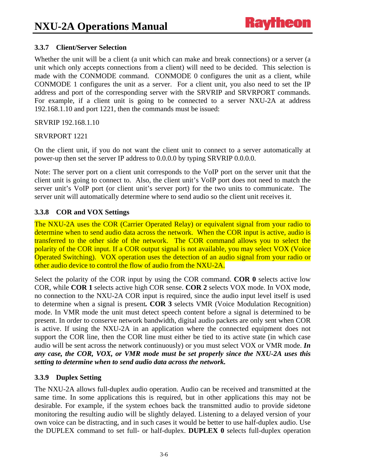#### **3.3.7 Client/Server Selection**

Whether the unit will be a client (a unit which can make and break connections) or a server (a unit which only accepts connections from a client) will need to be decided. This selection is made with the CONMODE command. CONMODE 0 configures the unit as a client, while CONMODE 1 configures the unit as a server. For a client unit, you also need to set the IP address and port of the corresponding server with the SRVRIP and SRVRPORT commands. For example, if a client unit is going to be connected to a server NXU-2A at address 192.168.1.10 and port 1221, then the commands must be issued:

SRVRIP 192.168.1.10

#### SRVRPORT 1221

On the client unit, if you do not want the client unit to connect to a server automatically at power-up then set the server IP address to 0.0.0.0 by typing SRVRIP 0.0.0.0.

Note: The server port on a client unit corresponds to the VoIP port on the server unit that the client unit is going to connect to. Also, the client unit's VoIP port does not need to match the server unit's VoIP port (or client unit's server port) for the two units to communicate. The server unit will automatically determine where to send audio so the client unit receives it.

#### **3.3.8 COR and VOX Settings**

The NXU-2A uses the COR (Carrier Operated Relay) or equivalent signal from your radio to determine when to send audio data across the network. When the COR input is active, audio is transferred to the other side of the network. The COR command allows you to select the polarity of the COR input. If a COR output signal is not available, you may select VOX (Voice Operated Switching). VOX operation uses the detection of an audio signal from your radio or other audio device to control the flow of audio from the NXU-2A.

Select the polarity of the COR input by using the COR command. **COR 0** selects active low COR, while **COR 1** selects active high COR sense. **COR 2** selects VOX mode. In VOX mode, no connection to the NXU-2A COR input is required, since the audio input level itself is used to determine when a signal is present*.* **COR 3** selects VMR (Voice Modulation Recognition) mode. In VMR mode the unit must detect speech content before a signal is determined to be present. In order to conserve network bandwidth, digital audio packets are only sent when COR is active. If using the NXU-2A in an application where the connected equipment does not support the COR line, then the COR line must either be tied to its active state (in which case audio will be sent across the network continuously) or you must select VOX or VMR mode. *In any case, the COR, VOX, or VMR mode must be set properly since the NXU-2A uses this setting to determine when to send audio data across the network.*

#### **3.3.9 Duplex Setting**

The NXU-2A allows full-duplex audio operation. Audio can be received and transmitted at the same time. In some applications this is required, but in other applications this may not be desirable. For example, if the system echoes back the transmitted audio to provide sidetone monitoring the resulting audio will be slightly delayed. Listening to a delayed version of your own voice can be distracting, and in such cases it would be better to use half-duplex audio. Use the DUPLEX command to set full- or half-duplex. **DUPLEX 0** selects full-duplex operation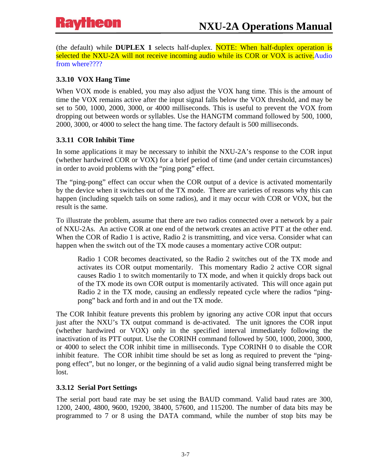(the default) while **DUPLEX 1** selects half-duplex. NOTE: When half-duplex operation is selected the NXU-2A will not receive incoming audio while its COR or VOX is active. Audio from where????

#### **3.3.10 VOX Hang Time**

When VOX mode is enabled, you may also adjust the VOX hang time. This is the amount of time the VOX remains active after the input signal falls below the VOX threshold, and may be set to 500, 1000, 2000, 3000, or 4000 milliseconds. This is useful to prevent the VOX from dropping out between words or syllables. Use the HANGTM command followed by 500, 1000, 2000, 3000, or 4000 to select the hang time. The factory default is 500 milliseconds.

#### **3.3.11 COR Inhibit Time**

In some applications it may be necessary to inhibit the NXU-2A's response to the COR input (whether hardwired COR or VOX) for a brief period of time (and under certain circumstances) in order to avoid problems with the "ping pong" effect.

The "ping-pong" effect can occur when the COR output of a device is activated momentarily by the device when it switches out of the TX mode. There are varieties of reasons why this can happen (including squelch tails on some radios), and it may occur with COR or VOX, but the result is the same.

To illustrate the problem, assume that there are two radios connected over a network by a pair of NXU-2As. An active COR at one end of the network creates an active PTT at the other end. When the COR of Radio 1 is active, Radio 2 is transmitting, and vice versa. Consider what can happen when the switch out of the TX mode causes a momentary active COR output:

Radio 1 COR becomes deactivated, so the Radio 2 switches out of the TX mode and activates its COR output momentarily. This momentary Radio 2 active COR signal causes Radio 1 to switch momentarily to TX mode, and when it quickly drops back out of the TX mode its own COR output is momentarily activated. This will once again put Radio 2 in the TX mode, causing an endlessly repeated cycle where the radios "pingpong" back and forth and in and out the TX mode.

The COR Inhibit feature prevents this problem by ignoring any active COR input that occurs just after the NXU's TX output command is de-activated. The unit ignores the COR input (whether hardwired or VOX) only in the specified interval immediately following the inactivation of its PTT output. Use the CORINH command followed by 500, 1000, 2000, 3000, or 4000 to select the COR inhibit time in milliseconds. Type CORINH 0 to disable the COR inhibit feature. The COR inhibit time should be set as long as required to prevent the "pingpong effect", but no longer, or the beginning of a valid audio signal being transferred might be lost.

#### **3.3.12 Serial Port Settings**

The serial port baud rate may be set using the BAUD command. Valid baud rates are 300, 1200, 2400, 4800, 9600, 19200, 38400, 57600, and 115200. The number of data bits may be programmed to 7 or 8 using the DATA command, while the number of stop bits may be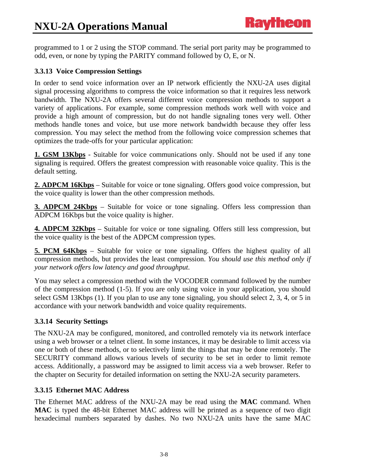programmed to 1 or 2 using the STOP command. The serial port parity may be programmed to odd, even, or none by typing the PARITY command followed by O, E, or N.

#### **3.3.13 Voice Compression Settings**

In order to send voice information over an IP network efficiently the NXU-2A uses digital signal processing algorithms to compress the voice information so that it requires less network bandwidth. The NXU-2A offers several different voice compression methods to support a variety of applications. For example, some compression methods work well with voice and provide a high amount of compression, but do not handle signaling tones very well. Other methods handle tones and voice, but use more network bandwidth because they offer less compression. You may select the method from the following voice compression schemes that optimizes the trade-offs for your particular application:

**1. GSM 13Kbps** - Suitable for voice communications only. Should not be used if any tone signaling is required. Offers the greatest compression with reasonable voice quality. This is the default setting.

**2. ADPCM 16Kbps** – Suitable for voice or tone signaling. Offers good voice compression, but the voice quality is lower than the other compression methods.

**3. ADPCM 24Kbps** – Suitable for voice or tone signaling. Offers less compression than ADPCM 16Kbps but the voice quality is higher.

**4. ADPCM 32Kbps** – Suitable for voice or tone signaling. Offers still less compression, but the voice quality is the best of the ADPCM compression types.

**5. PCM 64Kbps** – Suitable for voice or tone signaling. Offers the highest quality of all compression methods, but provides the least compression. *You should use this method only if your network offers low latency and good throughput*.

You may select a compression method with the VOCODER command followed by the number of the compression method (1-5). If you are only using voice in your application, you should select GSM 13Kbps (1). If you plan to use any tone signaling, you should select 2, 3, 4, or 5 in accordance with your network bandwidth and voice quality requirements.

#### **3.3.14 Security Settings**

The NXU-2A may be configured, monitored, and controlled remotely via its network interface using a web browser or a telnet client. In some instances, it may be desirable to limit access via one or both of these methods, or to selectively limit the things that may be done remotely. The SECURITY command allows various levels of security to be set in order to limit remote access. Additionally, a password may be assigned to limit access via a web browser. Refer to the chapter on Security for detailed information on setting the NXU-2A security parameters.

#### **3.3.15 Ethernet MAC Address**

The Ethernet MAC address of the NXU-2A may be read using the **MAC** command. When **MAC** is typed the 48-bit Ethernet MAC address will be printed as a sequence of two digit hexadecimal numbers separated by dashes. No two NXU-2A units have the same MAC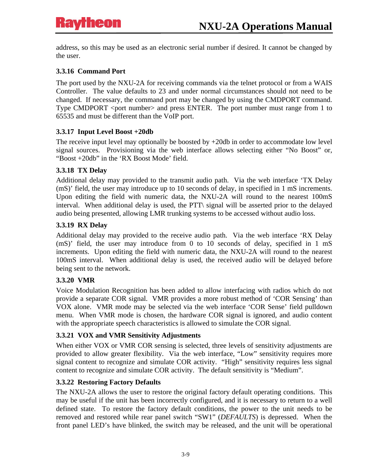address, so this may be used as an electronic serial number if desired. It cannot be changed by the user.

#### **3.3.16 Command Port**

The port used by the NXU-2A for receiving commands via the telnet protocol or from a WAIS Controller. The value defaults to 23 and under normal circumstances should not need to be changed. If necessary, the command port may be changed by using the CMDPORT command. Type CMDPORT <port number> and press ENTER. The port number must range from 1 to 65535 and must be different than the VoIP port.

#### **3.3.17 Input Level Boost +20db**

The receive input level may optionally be boosted by  $+20$ db in order to accommodate low level signal sources. Provisioning via the web interface allows selecting either "No Boost" or, "Boost +20db" in the 'RX Boost Mode' field.

#### **3.3.18 TX Delay**

Additional delay may provided to the transmit audio path. Via the web interface 'TX Delay (mS)' field, the user may introduce up to 10 seconds of delay, in specified in 1 mS increments. Upon editing the field with numeric data, the NXU-2A will round to the nearest 100mS interval. When additional delay is used, the PTT\ signal will be asserted prior to the delayed audio being presented, allowing LMR trunking systems to be accessed without audio loss.

#### **3.3.19 RX Delay**

Additional delay may provided to the receive audio path. Via the web interface 'RX Delay (mS)' field, the user may introduce from 0 to 10 seconds of delay, specified in 1 mS increments. Upon editing the field with numeric data, the NXU-2A will round to the nearest 100mS interval. When additional delay is used, the received audio will be delayed before being sent to the network.

#### **3.3.20 VMR**

Voice Modulation Recognition has been added to allow interfacing with radios which do not provide a separate COR signal. VMR provides a more robust method of 'COR Sensing' than VOX alone. VMR mode may be selected via the web interface 'COR Sense' field pulldown menu. When VMR mode is chosen, the hardware COR signal is ignored, and audio content with the appropriate speech characteristics is allowed to simulate the COR signal.

#### **3.3.21 VOX and VMR Sensitivity Adjustments**

When either VOX or VMR COR sensing is selected, three levels of sensitivity adjustments are provided to allow greater flexibility. Via the web interface, "Low" sensitivity requires more signal content to recognize and simulate COR activity. "High" sensitivity requires less signal content to recognize and simulate COR activity. The default sensitivity is "Medium".

#### **3.3.22 Restoring Factory Defaults**

The NXU-2A allows the user to restore the original factory default operating conditions. This may be useful if the unit has been incorrectly configured, and it is necessary to return to a well defined state. To restore the factory default conditions, the power to the unit needs to be removed and restored while rear panel switch "SW1" (*DEFAULTS*) is depressed. When the front panel LED's have blinked, the switch may be released, and the unit will be operational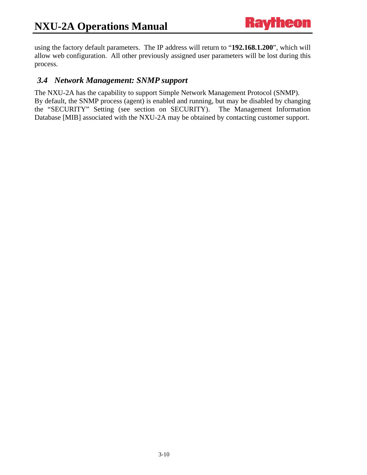using the factory default parameters. The IP address will return to "**192.168.1.200**", which will allow web configuration. All other previously assigned user parameters will be lost during this process.

#### *3.4 Network Management: SNMP support*

The NXU-2A has the capability to support Simple Network Management Protocol (SNMP). By default, the SNMP process (agent) is enabled and running, but may be disabled by changing the "SECURITY" Setting (see section on SECURITY). The Management Information Database [MIB] associated with the NXU-2A may be obtained by contacting customer support.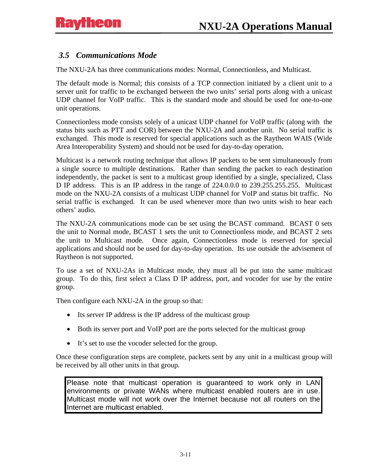#### *3.5 Communications Mode*

The NXU-2A has three communications modes: Normal, Connectionless, and Multicast.

The default mode is Normal; this consists of a TCP connection initiated by a client unit to a server unit for traffic to be exchanged between the two units' serial ports along with a unicast UDP channel for VoIP traffic. This is the standard mode and should be used for one-to-one unit operations.

Connectionless mode consists solely of a unicast UDP channel for VoIP traffic (along with the status bits such as PTT and COR) between the NXU-2A and another unit. No serial traffic is exchanged. This mode is reserved for special applications such as the Raytheon WAIS (Wide Area Interoperability System) and should not be used for day-to-day operation.

Multicast is a network routing technique that allows IP packets to be sent simultaneously from a single source to multiple destinations. Rather than sending the packet to each destination independently, the packet is sent to a multicast group identified by a single, specialized, Class D IP address. This is an IP address in the range of 224.0.0.0 to 239.255.255.255. Multicast mode on the NXU-2A consists of a multicast UDP channel for VoIP and status bit traffic. No serial traffic is exchanged. It can be used whenever more than two units wish to hear each others' audio.

The NXU-2A communications mode can be set using the BCAST command. BCAST 0 sets the unit to Normal mode, BCAST 1 sets the unit to Connectionless mode, and BCAST 2 sets the unit to Multicast mode. Once again, Connectionless mode is reserved for special applications and should not be used for day-to-day operation. Its use outside the advisement of Raytheon is not supported.

To use a set of NXU-2As in Multicast mode, they must all be put into the same multicast group. To do this, first select a Class D IP address, port, and vocoder for use by the entire group.

Then configure each NXU-2A in the group so that:

- Its server IP address is the IP address of the multicast group
- Both its server port and VoIP port are the ports selected for the multicast group
- It's set to use the vocoder selected for the group.

Once these configuration steps are complete, packets sent by any unit in a multicast group will be received by all other units in that group.

Please note that multicast operation is guaranteed to work only in LAN environments or private WANs where multicast enabled routers are in use. Multicast mode will not work over the Internet because not all routers on the Internet are multicast enabled.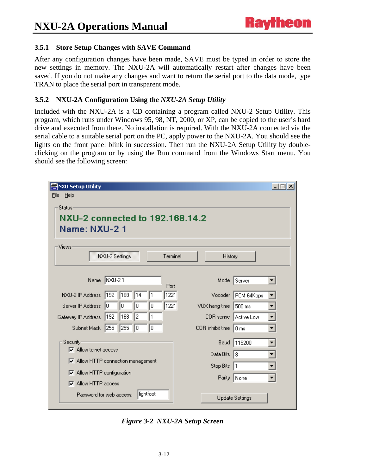#### **3.5.1 Store Setup Changes with SAVE Command**

After any configuration changes have been made, SAVE must be typed in order to store the new settings in memory. The NXU-2A will automatically restart after changes have been saved. If you do not make any changes and want to return the serial port to the data mode, type TRAN to place the serial port in transparent mode.

#### **3.5.2 NXU-2A Configuration Using the** *NXU-2A Setup Utility*

Included with the NXU-2A is a CD containing a program called NXU-2 Setup Utility. This program, which runs under Windows 95, 98, NT, 2000, or XP, can be copied to the user's hard drive and executed from there. No installation is required. With the NXU-2A connected via the serial cable to a suitable serial port on the PC, apply power to the NXU-2A. You should see the lights on the front panel blink in succession. Then run the NXU-2A Setup Utility by doubleclicking on the program or by using the Run command from the Windows Start menu. You should see the following screen:

| <b>NXU Setup Utility</b>                      |                                      |
|-----------------------------------------------|--------------------------------------|
| Eile<br>Help                                  |                                      |
| <b>Status</b>                                 |                                      |
| NXU-2 connected to 192.168.14.2               |                                      |
| Name: NXU-2 1                                 |                                      |
|                                               |                                      |
| Views                                         |                                      |
| NXU-2 Settings<br>Terminal                    | History                              |
|                                               |                                      |
|                                               |                                      |
| NXU-21<br>Name<br>Port                        | Mode Server                          |
| 1221<br>NXU-2 IP Address<br>168<br>192<br>14  | PCM 64Kbps<br>Vocoder                |
| 1221<br>Server IP Address<br>۵<br>n<br>n<br>O | VOX hang time<br>500 ms              |
| 2<br>168<br>192<br>Gateway IP Address         | COR sense Active Low                 |
|                                               |                                      |
| 255<br>I٥<br>Iо<br>255<br>Subnet Mask         | COR inhibit time<br>10 <sub>ms</sub> |
| Security                                      | Baud 115200                          |
| $\nabla$ Allow telnet access                  | Data Bits   8                        |
| M Allow HTTP connection management            | Stop Bits<br>11                      |
| $\nabla$ Allow HTTP configuration             |                                      |
| Allow HTTP access                             | Parity None                          |
| lightfoot<br>Password for web access:         |                                      |
|                                               | <b>Update Settings</b>               |

*Figure 3-2 NXU-2A Setup Screen*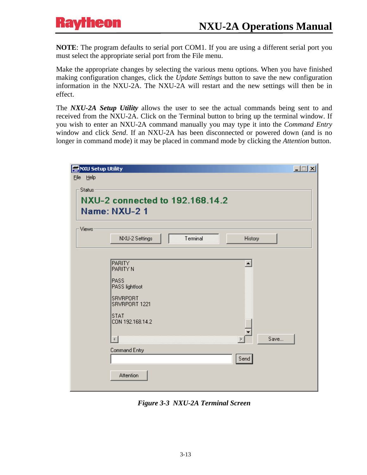**NOTE**: The program defaults to serial port COM1. If you are using a different serial port you must select the appropriate serial port from the File menu.

Make the appropriate changes by selecting the various menu options. When you have finished making configuration changes, click the *Update Settings* button to save the new configuration information in the NXU-2A. The NXU-2A will restart and the new settings will then be in effect.

The *NXU-2A Setup Utility* allows the user to see the actual commands being sent to and received from the NXU-2A. Click on the Terminal button to bring up the terminal window. If you wish to enter an NXU-2A command manually you may type it into the *Command Entry* window and click *Send*. If an NXU-2A has been disconnected or powered down (and is no longer in command mode) it may be placed in command mode by clicking the *Attention* button.

| NXU Setup Utility                     | $\Box$ |
|---------------------------------------|--------|
| File Help                             |        |
| <b>Status:</b>                        |        |
| NXU-2 connected to 192.168.14.2       |        |
| Name: NXU-2 1                         |        |
| Views                                 |        |
| Terminal<br>NXU-2 Settings<br>History |        |
|                                       |        |
| <b>PARITY</b><br>PARITY N             |        |
| PASS<br>PASS lightfoot                |        |
| <b>SRVRPORT</b><br>SRVRPORT 1221      |        |
| STAT<br>CON 192.168.14.2              |        |
|                                       | Save   |
| Command Entry                         |        |
| Send                                  |        |
| Attention                             |        |

*Figure 3-3 NXU-2A Terminal Screen*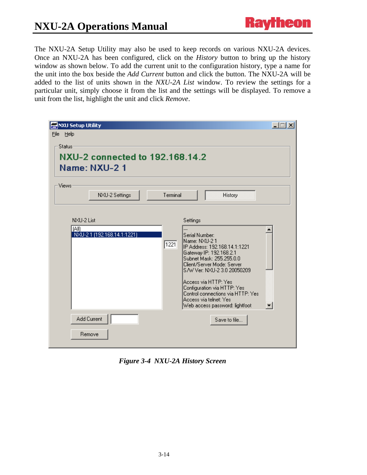The NXU-2A Setup Utility may also be used to keep records on various NXU-2A devices. Once an NXU-2A has been configured, click on the *History* button to bring up the history window as shown below. To add the current unit to the configuration history, type a name for the unit into the box beside the *Add Current* button and click the button. The NXU-2A will be added to the list of units shown in the *NXU-2A List* window. To review the settings for a particular unit, simply choose it from the list and the settings will be displayed. To remove a unit from the list, highlight the unit and click *Remove*.

| MXU Setup Utility |                                                  |          |                                                                                                                                                                                                                                                                                                                                             | $ \Box$ $\times$ |
|-------------------|--------------------------------------------------|----------|---------------------------------------------------------------------------------------------------------------------------------------------------------------------------------------------------------------------------------------------------------------------------------------------------------------------------------------------|------------------|
| File Help         |                                                  |          |                                                                                                                                                                                                                                                                                                                                             |                  |
| <b>Status</b>     |                                                  |          |                                                                                                                                                                                                                                                                                                                                             |                  |
|                   | NXU-2 connected to 192.168.14.2<br>Name: NXU-2 1 |          |                                                                                                                                                                                                                                                                                                                                             |                  |
|                   |                                                  |          |                                                                                                                                                                                                                                                                                                                                             |                  |
| Views:            |                                                  |          |                                                                                                                                                                                                                                                                                                                                             |                  |
|                   | NXU-2 Settings                                   | Terminal | History                                                                                                                                                                                                                                                                                                                                     |                  |
|                   |                                                  |          |                                                                                                                                                                                                                                                                                                                                             |                  |
| NXU-2 List        |                                                  |          | Settings                                                                                                                                                                                                                                                                                                                                    |                  |
| [A]]              | NXU-21 (192.168.14.1:1221)                       | 1221     | Serial Number:<br>Name: NXU-21<br>IP Address: 192.168.14.1:1221<br>Gateway IP: 192.168.2.1<br>Subnet Mask: 255.255.0.0<br>Client/Server Mode: Server<br>S/W Ver: NXU-2 3.0 20050209<br>Access via HTTP: Yes<br>Configuration via HTTP: Yes<br>Control connections via HTTP: Yes<br>Access via telnet: Yes<br>Web access password: lightfoot |                  |
| Add Current       |                                                  |          | Save to file                                                                                                                                                                                                                                                                                                                                |                  |
| Remove            |                                                  |          |                                                                                                                                                                                                                                                                                                                                             |                  |

*Figure 3-4 NXU-2A History Screen*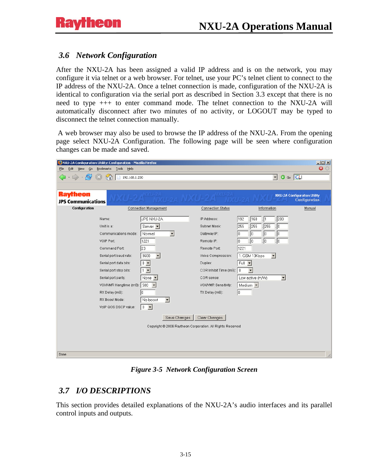#### *3.6 Network Configuration*

After the NXU-2A has been assigned a valid IP address and is on the network, you may configure it via telnet or a web browser. For telnet, use your PC's telnet client to connect to the IP address of the NXU-2A. Once a telnet connection is made, configuration of the NXU-2A is identical to configuration via the serial port as described in Section 3.3 except that there is no need to type +++ to enter command mode. The telnet connection to the NXU-2A will automatically disconnect after two minutes of no activity, or LOGOUT may be typed to disconnect the telnet connection manually.

 A web browser may also be used to browse the IP address of the NXU-2A. From the opening page select NXU-2A Configuration. The following page will be seen where configuration changes can be made and saved.



*Figure 3-5 Network Configuration Screen* 

### *3.7 I/O DESCRIPTIONS*

This section provides detailed explanations of the NXU-2A's audio interfaces and its parallel control inputs and outputs.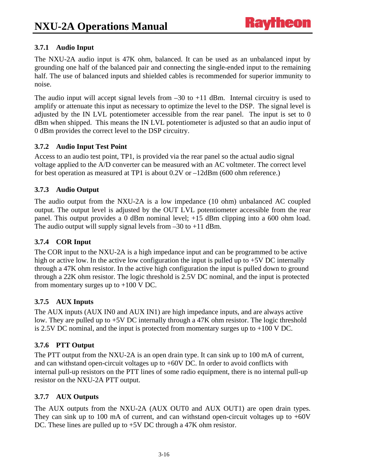#### **3.7.1 Audio Input**

The NXU-2A audio input is 47K ohm, balanced. It can be used as an unbalanced input by grounding one half of the balanced pair and connecting the single-ended input to the remaining half. The use of balanced inputs and shielded cables is recommended for superior immunity to noise.

The audio input will accept signal levels from  $-30$  to  $+11$  dBm. Internal circuitry is used to amplify or attenuate this input as necessary to optimize the level to the DSP. The signal level is adjusted by the IN LVL potentiometer accessible from the rear panel. The input is set to 0 dBm when shipped. This means the IN LVL potentiometer is adjusted so that an audio input of 0 dBm provides the correct level to the DSP circuitry.

#### **3.7.2 Audio Input Test Point**

Access to an audio test point, TP1, is provided via the rear panel so the actual audio signal voltage applied to the A/D converter can be measured with an AC voltmeter. The correct level for best operation as measured at TP1 is about 0.2V or –12dBm (600 ohm reference.)

#### **3.7.3 Audio Output**

The audio output from the NXU-2A is a low impedance (10 ohm) unbalanced AC coupled output. The output level is adjusted by the OUT LVL potentiometer accessible from the rear panel. This output provides a 0 dBm nominal level; +15 dBm clipping into a 600 ohm load. The audio output will supply signal levels from  $-30$  to  $+11$  dBm.

#### **3.7.4 COR Input**

The COR input to the NXU-2A is a high impedance input and can be programmed to be active high or active low. In the active low configuration the input is pulled up to  $+5V$  DC internally through a 47K ohm resistor. In the active high configuration the input is pulled down to ground through a 22K ohm resistor. The logic threshold is 2.5V DC nominal, and the input is protected from momentary surges up to  $+100$  V DC.

#### **3.7.5 AUX Inputs**

The AUX inputs (AUX IN0 and AUX IN1) are high impedance inputs, and are always active low. They are pulled up to +5V DC internally through a 47K ohm resistor. The logic threshold is 2.5V DC nominal, and the input is protected from momentary surges up to +100 V DC.

#### **3.7.6 PTT Output**

The PTT output from the NXU-2A is an open drain type. It can sink up to 100 mA of current, and can withstand open-circuit voltages up to +60V DC. In order to avoid conflicts with internal pull-up resistors on the PTT lines of some radio equipment, there is no internal pull-up resistor on the NXU-2A PTT output.

#### **3.7.7 AUX Outputs**

The AUX outputs from the NXU-2A (AUX OUT0 and AUX OUT1) are open drain types. They can sink up to 100 mA of current, and can withstand open-circuit voltages up to  $+60V$ DC. These lines are pulled up to  $+5V$  DC through a 47K ohm resistor.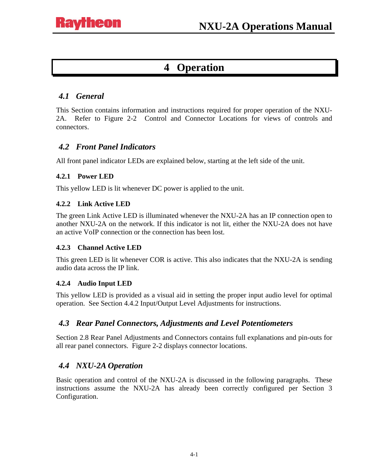### **4 Operation**

#### *4.1 General*

This Section contains information and instructions required for proper operation of the NXU-2A. Refer to Figure 2-2 Control and Connector Locations for views of controls and connectors.

#### *4.2 Front Panel Indicators*

All front panel indicator LEDs are explained below, starting at the left side of the unit.

#### **4.2.1 Power LED**

This yellow LED is lit whenever DC power is applied to the unit.

#### **4.2.2 Link Active LED**

The green Link Active LED is illuminated whenever the NXU-2A has an IP connection open to another NXU-2A on the network. If this indicator is not lit, either the NXU-2A does not have an active VoIP connection or the connection has been lost.

#### **4.2.3 Channel Active LED**

This green LED is lit whenever COR is active. This also indicates that the NXU-2A is sending audio data across the IP link.

#### **4.2.4 Audio Input LED**

This yellow LED is provided as a visual aid in setting the proper input audio level for optimal operation. See Section 4.4.2 Input/Output Level Adjustments for instructions.

#### *4.3 Rear Panel Connectors, Adjustments and Level Potentiometers*

Section 2.8 Rear Panel Adjustments and Connectors contains full explanations and pin-outs for all rear panel connectors. Figure 2-2 displays connector locations.

### *4.4 NXU-2A Operation*

Basic operation and control of the NXU-2A is discussed in the following paragraphs. These instructions assume the NXU-2A has already been correctly configured per Section 3 Configuration.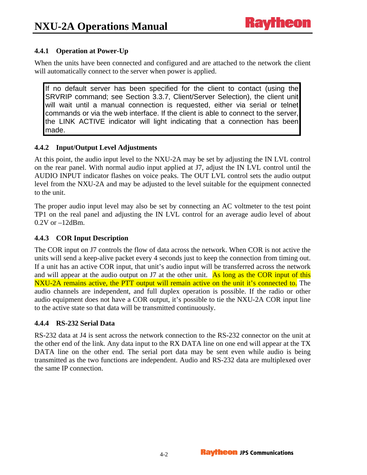#### **4.4.1 Operation at Power-Up**

When the units have been connected and configured and are attached to the network the client will automatically connect to the server when power is applied.

If no default server has been specified for the client to contact (using the SRVRIP command; see Section 3.3.7, Client/Server Selection), the client unit will wait until a manual connection is requested, either via serial or telnet commands or via the web interface. If the client is able to connect to the server, the LINK ACTIVE indicator will light indicating that a connection has been made.

#### **4.4.2 Input/Output Level Adjustments**

At this point, the audio input level to the NXU-2A may be set by adjusting the IN LVL control on the rear panel. With normal audio input applied at J7, adjust the IN LVL control until the AUDIO INPUT indicator flashes on voice peaks. The OUT LVL control sets the audio output level from the NXU-2A and may be adjusted to the level suitable for the equipment connected to the unit.

The proper audio input level may also be set by connecting an AC voltmeter to the test point TP1 on the real panel and adjusting the IN LVL control for an average audio level of about  $0.2V$  or  $-12dB$ m.

#### **4.4.3 COR Input Description**

The COR input on J7 controls the flow of data across the network. When COR is not active the units will send a keep-alive packet every 4 seconds just to keep the connection from timing out. If a unit has an active COR input, that unit's audio input will be transferred across the network and will appear at the audio output on J7 at the other unit. As long as the COR input of this NXU-2A remains active, the PTT output will remain active on the unit it's connected to. The audio channels are independent, and full duplex operation is possible. If the radio or other audio equipment does not have a COR output, it's possible to tie the NXU-2A COR input line to the active state so that data will be transmitted continuously.

#### **4.4.4 RS-232 Serial Data**

RS-232 data at J4 is sent across the network connection to the RS-232 connector on the unit at the other end of the link. Any data input to the RX DATA line on one end will appear at the TX DATA line on the other end. The serial port data may be sent even while audio is being transmitted as the two functions are independent. Audio and RS-232 data are multiplexed over the same IP connection.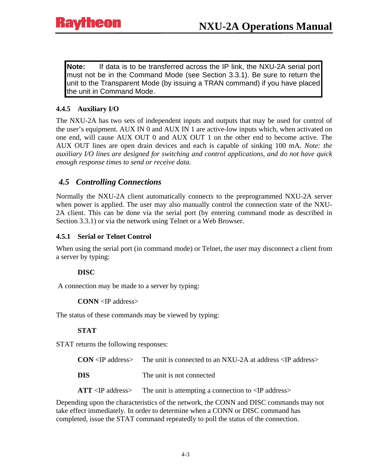**Note:** If data is to be transferred across the IP link, the NXU-2A serial port must not be in the Command Mode (see Section 3.3.1). Be sure to return the unit to the Transparent Mode (by issuing a TRAN command) if you have placed the unit in Command Mode.

#### **4.4.5 Auxiliary I/O**

The NXU-2A has two sets of independent inputs and outputs that may be used for control of the user's equipment. AUX IN 0 and AUX IN 1 are active-low inputs which, when activated on one end, will cause AUX OUT 0 and AUX OUT 1 on the other end to become active. The AUX OUT lines are open drain devices and each is capable of sinking 100 mA. *Note: the auxiliary I/O lines are designed for switching and control applications, and do not have quick enough response times to send or receive data.*

#### *4.5 Controlling Connections*

Normally the NXU-2A client automatically connects to the preprogrammed NXU-2A server when power is applied. The user may also manually control the connection state of the NXU-2A client. This can be done via the serial port (by entering command mode as described in Section 3.3.1) or via the network using Telnet or a Web Browser.

#### **4.5.1 Serial or Telnet Control**

When using the serial port (in command mode) or Telnet, the user may disconnect a client from a server by typing:

#### **DISC**

A connection may be made to a server by typing:

#### **CONN** <IP address>

The status of these commands may be viewed by typing:

#### **STAT**

STAT returns the following responses:

|            | $CON < IP$ address> The unit is connected to an NXU-2A at address $\langle IP \text{ address} \rangle$ |
|------------|--------------------------------------------------------------------------------------------------------|
| <b>DIS</b> | The unit is not connected                                                                              |

**ATT** <IP address> The unit is attempting a connection to <IP address>

Depending upon the characteristics of the network, the CONN and DISC commands may not take effect immediately. In order to determine when a CONN or DISC command has completed, issue the STAT command repeatedly to poll the status of the connection.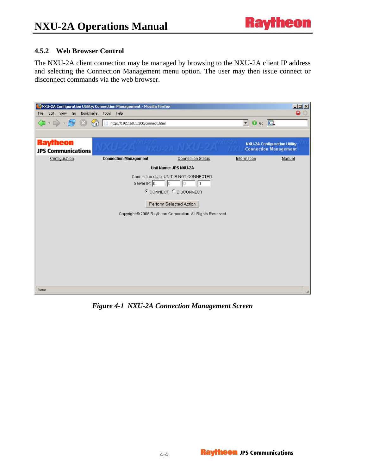4-4

#### **4.5.2 Web Browser Control**

The NXU-2A client connection may be managed by browsing to the NXU-2A client IP address and selecting the Connection Management menu option. The user may then issue connect or disconnect commands via the web browser.



*Figure 4-1 NXU-2A Connection Management Screen*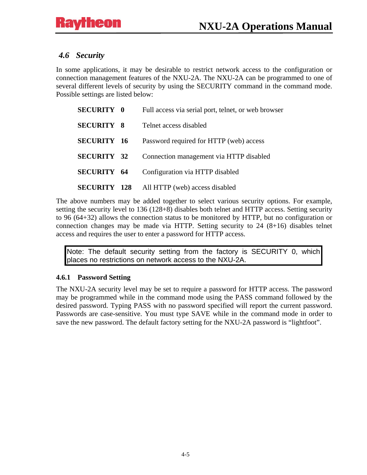#### *4.6 Security*

In some applications, it may be desirable to restrict network access to the configuration or connection management features of the NXU-2A. The NXU-2A can be programmed to one of several different levels of security by using the SECURITY command in the command mode. Possible settings are listed below:

| <b>SECURITY 0</b>   | Full access via serial port, telnet, or web browser |
|---------------------|-----------------------------------------------------|
| <b>SECURITY 8</b>   | Telnet access disabled                              |
| <b>SECURITY 16</b>  | Password required for HTTP (web) access             |
| <b>SECURITY 32</b>  | Connection management via HTTP disabled             |
| <b>SECURITY 64</b>  | Configuration via HTTP disabled                     |
| <b>SECURITY 128</b> | All HTTP (web) access disabled                      |

The above numbers may be added together to select various security options. For example, setting the security level to 136 (128+8) disables both telnet and HTTP access. Setting security to 96 (64+32) allows the connection status to be monitored by HTTP, but no configuration or connection changes may be made via HTTP. Setting security to 24 (8+16) disables telnet access and requires the user to enter a password for HTTP access.

Note: The default security setting from the factory is SECURITY 0, which places no restrictions on network access to the NXU-2A.

#### **4.6.1 Password Setting**

The NXU-2A security level may be set to require a password for HTTP access. The password may be programmed while in the command mode using the PASS command followed by the desired password. Typing PASS with no password specified will report the current password. Passwords are case-sensitive. You must type SAVE while in the command mode in order to save the new password. The default factory setting for the NXU-2A password is "lightfoot".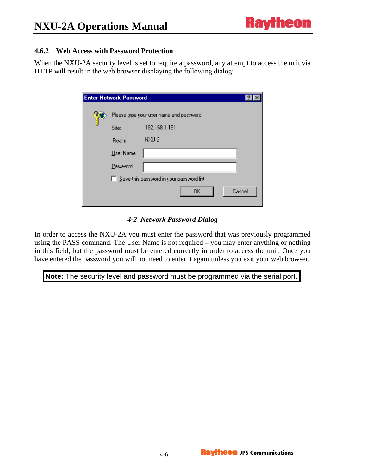#### **4.6.2 Web Access with Password Protection**

When the NXU-2A security level is set to require a password, any attempt to access the unit via HTTP will result in the web browser displaying the following dialog:

| <b>Enter Network Password</b> |                                                 |  |  |  |
|-------------------------------|-------------------------------------------------|--|--|--|
|                               | Please type your user name and password.        |  |  |  |
| Site:                         | 192.168.1.191                                   |  |  |  |
| Realm                         | NXU-2                                           |  |  |  |
| User Name                     |                                                 |  |  |  |
| Password                      |                                                 |  |  |  |
|                               | $\Box$ Save this password in your password list |  |  |  |
|                               | Cancel<br>OΚ                                    |  |  |  |

#### *4-2 Network Password Dialog*

In order to access the NXU-2A you must enter the password that was previously programmed using the PASS command. The User Name is not required – you may enter anything or nothing in this field, but the password must be entered correctly in order to access the unit. Once you have entered the password you will not need to enter it again unless you exit your web browser.

**Note:** The security level and password must be programmed via the serial port.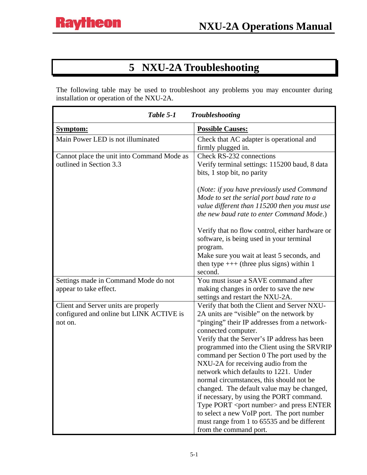## **5 NXU-2A Troubleshooting**

The following table may be used to troubleshoot any problems you may encounter during installation or operation of the NXU-2A.

| Table 5-1<br><b>Troubleshooting</b>                                                         |                                                                                                                                                                                        |  |  |  |  |
|---------------------------------------------------------------------------------------------|----------------------------------------------------------------------------------------------------------------------------------------------------------------------------------------|--|--|--|--|
| <b>Symptom:</b>                                                                             | <b>Possible Causes:</b>                                                                                                                                                                |  |  |  |  |
| Main Power LED is not illuminated                                                           | Check that AC adapter is operational and<br>firmly plugged in.                                                                                                                         |  |  |  |  |
| Cannot place the unit into Command Mode as<br>outlined in Section 3.3                       | Check RS-232 connections<br>Verify terminal settings: 115200 baud, 8 data<br>bits, 1 stop bit, no parity                                                                               |  |  |  |  |
|                                                                                             | (Note: if you have previously used Command<br>Mode to set the serial port baud rate to a<br>value different than 115200 then you must use<br>the new baud rate to enter Command Mode.) |  |  |  |  |
|                                                                                             | Verify that no flow control, either hardware or<br>software, is being used in your terminal<br>program.                                                                                |  |  |  |  |
|                                                                                             | Make sure you wait at least 5 seconds, and<br>then type $++$ (three plus signs) within 1<br>second.                                                                                    |  |  |  |  |
| Settings made in Command Mode do not<br>appear to take effect.                              | You must issue a SAVE command after<br>making changes in order to save the new<br>settings and restart the NXU-2A.                                                                     |  |  |  |  |
| Client and Server units are properly<br>configured and online but LINK ACTIVE is<br>not on. | Verify that both the Client and Server NXU-<br>2A units are "visible" on the network by<br>"pinging" their IP addresses from a network-<br>connected computer.                         |  |  |  |  |
|                                                                                             | Verify that the Server's IP address has been<br>programmed into the Client using the SRVRIP<br>command per Section 0 The port used by the<br>NXU-2A for receiving audio from the       |  |  |  |  |
|                                                                                             | network which defaults to 1221. Under<br>normal circumstances, this should not be                                                                                                      |  |  |  |  |
|                                                                                             | changed. The default value may be changed,<br>if necessary, by using the PORT command.<br>Type PORT <port number=""> and press ENTER</port>                                            |  |  |  |  |
|                                                                                             | to select a new VoIP port. The port number<br>must range from 1 to 65535 and be different                                                                                              |  |  |  |  |
|                                                                                             | from the command port.                                                                                                                                                                 |  |  |  |  |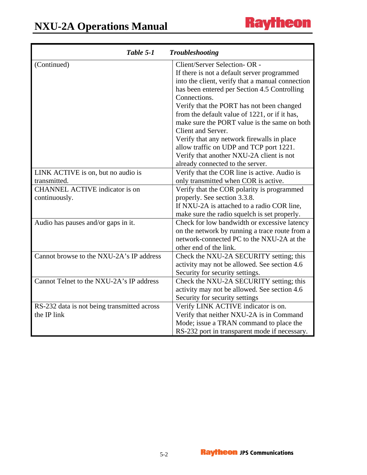| Table 5-1                                   | <b>Troubleshooting</b>                           |
|---------------------------------------------|--------------------------------------------------|
| (Continued)                                 | Client/Server Selection-OR -                     |
|                                             | If there is not a default server programmed      |
|                                             | into the client, verify that a manual connection |
|                                             | has been entered per Section 4.5 Controlling     |
|                                             | Connections.                                     |
|                                             | Verify that the PORT has not been changed        |
|                                             | from the default value of 1221, or if it has,    |
|                                             | make sure the PORT value is the same on both     |
|                                             | Client and Server.                               |
|                                             | Verify that any network firewalls in place       |
|                                             | allow traffic on UDP and TCP port 1221.          |
|                                             | Verify that another NXU-2A client is not         |
|                                             | already connected to the server.                 |
| LINK ACTIVE is on, but no audio is          | Verify that the COR line is active. Audio is     |
| transmitted.                                | only transmitted when COR is active.             |
| <b>CHANNEL ACTIVE indicator is on</b>       | Verify that the COR polarity is programmed       |
| continuously.                               | properly. See section 3.3.8.                     |
|                                             | If NXU-2A is attached to a radio COR line,       |
|                                             | make sure the radio squelch is set properly.     |
| Audio has pauses and/or gaps in it.         | Check for low bandwidth or excessive latency     |
|                                             | on the network by running a trace route from a   |
|                                             | network-connected PC to the NXU-2A at the        |
|                                             | other end of the link.                           |
| Cannot browse to the NXU-2A's IP address    | Check the NXU-2A SECURITY setting; this          |
|                                             | activity may not be allowed. See section 4.6     |
|                                             | Security for security settings.                  |
| Cannot Telnet to the NXU-2A's IP address    | Check the NXU-2A SECURITY setting; this          |
|                                             | activity may not be allowed. See section 4.6     |
|                                             | Security for security settings                   |
| RS-232 data is not being transmitted across | Verify LINK ACTIVE indicator is on.              |
| the IP link                                 | Verify that neither NXU-2A is in Command         |
|                                             | Mode; issue a TRAN command to place the          |
|                                             | RS-232 port in transparent mode if necessary.    |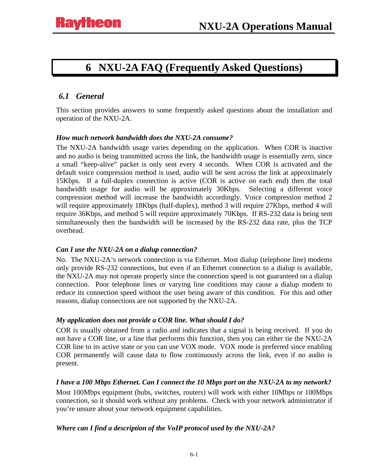### **6 NXU-2A FAQ (Frequently Asked Questions)**

#### *6.1 General*

This section provides answers to some frequently asked questions about the installation and operation of the NXU-2A.

#### *How much network bandwidth does the NXU-2A consume?*

The NXU-2A bandwidth usage varies depending on the application. When COR is inactive and no audio is being transmitted across the link, the bandwidth usage is essentially zero, since a small "keep-alive" packet is only sent every 4 seconds. When COR is activated and the default voice compression method is used, audio will be sent across the link at approximately 15Kbps. If a full-duplex connection is active (COR is active on each end) then the total bandwidth usage for audio will be approximately 30Kbps. Selecting a different voice compression method will increase the bandwidth accordingly. Voice compression method 2 will require approximately 18Kbps (half-duplex), method 3 will require 27Kbps, method 4 will require 36Kbps, and method 5 will require approximately 70Kbps. If RS-232 data is being sent simultaneously then the bandwidth will be increased by the RS-232 data rate, plus the TCP overhead.

#### *Can I use the NXU-2A on a dialup connection?*

No. The NXU-2A's network connection is via Ethernet. Most dialup (telephone line) modems only provide RS-232 connections, but even if an Ethernet connection to a dialup is available, the NXU-2A may not operate properly since the connection speed is not guaranteed on a dialup connection. Poor telephone lines or varying line conditions may cause a dialup modem to reduce its connection speed without the user being aware of this condition. For this and other reasons, dialup connections are not supported by the NXU-2A.

#### *My application does not provide a COR line. What should I do?*

COR is usually obtained from a radio and indicates that a signal is being received. If you do not have a COR line, or a line that performs this function, then you can either tie the NXU-2A COR line to its active state or you can use VOX mode. VOX mode is preferred since enabling COR permanently will cause data to flow continuously across the link, even if no audio is present.

#### *I have a 100 Mbps Ethernet. Can I connect the 10 Mbps port on the NXU-2A to my network?*

Most 100Mbps equipment (hubs, switches, routers) will work with either 10Mbps or 100Mbps connection, so it should work without any problems. Check with your network administrator if you're unsure about your network equipment capabilities.

#### *Where can I find a description of the VoIP protocol used by the NXU-2A?*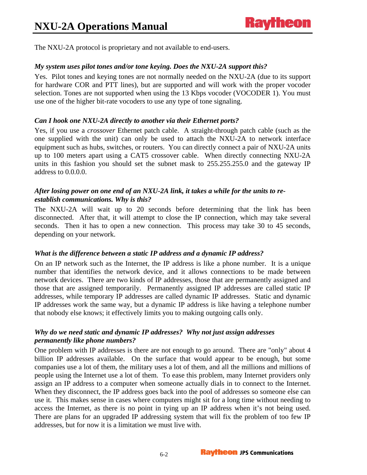The NXU-2A protocol is proprietary and not available to end-users.

#### *My system uses pilot tones and/or tone keying. Does the NXU-2A support this?*

Yes. Pilot tones and keying tones are not normally needed on the NXU-2A (due to its support for hardware COR and PTT lines), but are supported and will work with the proper vocoder selection. Tones are not supported when using the 13 Kbps vocoder (VOCODER 1). You must use one of the higher bit-rate vocoders to use any type of tone signaling.

#### *Can I hook one NXU-2A directly to another via their Ethernet ports?*

Yes, if you use a *crossover* Ethernet patch cable. A straight-through patch cable (such as the one supplied with the unit) can only be used to attach the NXU-2A to network interface equipment such as hubs, switches, or routers. You can directly connect a pair of NXU-2A units up to 100 meters apart using a CAT5 crossover cable. When directly connecting NXU-2A units in this fashion you should set the subnet mask to 255.255.255.0 and the gateway IP address to 0.0.0.0.

#### *After losing power on one end of an NXU-2A link, it takes a while for the units to reestablish communications. Why is this?*

The NXU-2A will wait up to 20 seconds before determining that the link has been disconnected. After that, it will attempt to close the IP connection, which may take several seconds. Then it has to open a new connection. This process may take 30 to 45 seconds, depending on your network.

#### *What is the difference between a static IP address and a dynamic IP address?*

On an IP network such as the Internet, the IP address is like a phone number. It is a unique number that identifies the network device, and it allows connections to be made between network devices. There are two kinds of IP addresses, those that are permanently assigned and those that are assigned temporarily. Permanently assigned IP addresses are called static IP addresses, while temporary IP addresses are called dynamic IP addresses. Static and dynamic IP addresses work the same way, but a dynamic IP address is like having a telephone number that nobody else knows; it effectively limits you to making outgoing calls only.

#### *Why do we need static and dynamic IP addresses? Why not just assign addresses permanently like phone numbers?*

One problem with IP addresses is there are not enough to go around. There are "only" about 4 billion IP addresses available. On the surface that would appear to be enough, but some companies use a lot of them, the military uses a lot of them, and all the millions and millions of people using the Internet use a lot of them. To ease this problem, many Internet providers only assign an IP address to a computer when someone actually dials in to connect to the Internet. When they disconnect, the IP address goes back into the pool of addresses so someone else can use it. This makes sense in cases where computers might sit for a long time without needing to access the Internet, as there is no point in tying up an IP address when it's not being used. There are plans for an upgraded IP addressing system that will fix the problem of too few IP addresses, but for now it is a limitation we must live with.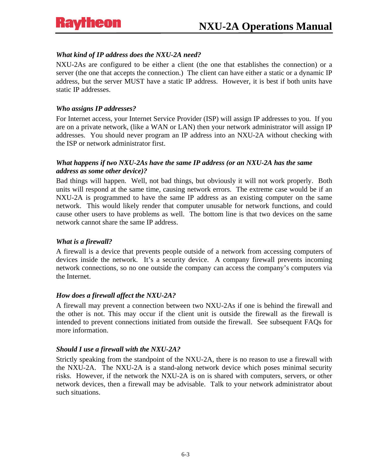#### *What kind of IP address does the NXU-2A need?*

NXU-2As are configured to be either a client (the one that establishes the connection) or a server (the one that accepts the connection.) The client can have either a static or a dynamic IP address, but the server MUST have a static IP address. However, it is best if both units have static IP addresses.

#### *Who assigns IP addresses?*

For Internet access, your Internet Service Provider (ISP) will assign IP addresses to you. If you are on a private network, (like a WAN or LAN) then your network administrator will assign IP addresses. You should never program an IP address into an NXU-2A without checking with the ISP or network administrator first.

#### *What happens if two NXU-2As have the same IP address (or an NXU-2A has the same address as some other device)?*

Bad things will happen. Well, not bad things, but obviously it will not work properly. Both units will respond at the same time, causing network errors. The extreme case would be if an NXU-2A is programmed to have the same IP address as an existing computer on the same network. This would likely render that computer unusable for network functions, and could cause other users to have problems as well. The bottom line is that two devices on the same network cannot share the same IP address.

#### *What is a firewall?*

A firewall is a device that prevents people outside of a network from accessing computers of devices inside the network. It's a security device. A company firewall prevents incoming network connections, so no one outside the company can access the company's computers via the Internet.

#### *How does a firewall affect the NXU-2A?*

A firewall may prevent a connection between two NXU-2As if one is behind the firewall and the other is not. This may occur if the client unit is outside the firewall as the firewall is intended to prevent connections initiated from outside the firewall. See subsequent FAQs for more information.

#### *Should I use a firewall with the NXU-2A?*

Strictly speaking from the standpoint of the NXU-2A, there is no reason to use a firewall with the NXU-2A. The NXU-2A is a stand-along network device which poses minimal security risks. However, if the network the NXU-2A is on is shared with computers, servers, or other network devices, then a firewall may be advisable. Talk to your network administrator about such situations.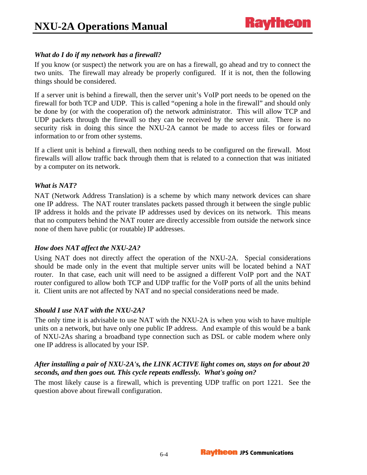#### *What do I do if my network has a firewall?*

If you know (or suspect) the network you are on has a firewall, go ahead and try to connect the two units. The firewall may already be properly configured. If it is not, then the following things should be considered.

If a server unit is behind a firewall, then the server unit's VoIP port needs to be opened on the firewall for both TCP and UDP. This is called "opening a hole in the firewall" and should only be done by (or with the cooperation of) the network administrator. This will allow TCP and UDP packets through the firewall so they can be received by the server unit. There is no security risk in doing this since the NXU-2A cannot be made to access files or forward information to or from other systems.

If a client unit is behind a firewall, then nothing needs to be configured on the firewall. Most firewalls will allow traffic back through them that is related to a connection that was initiated by a computer on its network.

#### *What is NAT?*

NAT (Network Address Translation) is a scheme by which many network devices can share one IP address. The NAT router translates packets passed through it between the single public IP address it holds and the private IP addresses used by devices on its network. This means that no computers behind the NAT router are directly accessible from outside the network since none of them have public (or routable) IP addresses.

#### *How does NAT affect the NXU-2A?*

Using NAT does not directly affect the operation of the NXU-2A. Special considerations should be made only in the event that multiple server units will be located behind a NAT router. In that case, each unit will need to be assigned a different VoIP port and the NAT router configured to allow both TCP and UDP traffic for the VoIP ports of all the units behind it. Client units are not affected by NAT and no special considerations need be made.

#### *Should I use NAT with the NXU-2A?*

The only time it is advisable to use NAT with the NXU-2A is when you wish to have multiple units on a network, but have only one public IP address. And example of this would be a bank of NXU-2As sharing a broadband type connection such as DSL or cable modem where only one IP address is allocated by your ISP.

#### *After installing a pair of NXU-2A's, the LINK ACTIVE light comes on, stays on for about 20 seconds, and then goes out. This cycle repeats endlessly. What's going on?*

The most likely cause is a firewall, which is preventing UDP traffic on port 1221. See the question above about firewall configuration.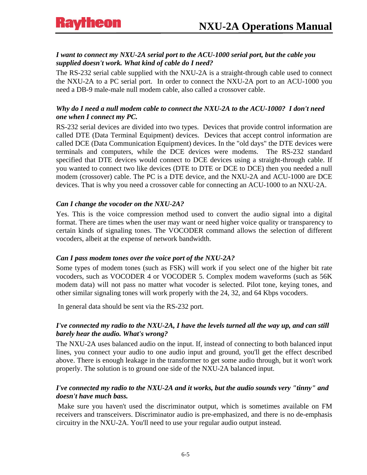#### *I want to connect my NXU-2A serial port to the ACU-1000 serial port, but the cable you supplied doesn't work. What kind of cable do I need?*

The RS-232 serial cable supplied with the NXU-2A is a straight-through cable used to connect the NXU-2A to a PC serial port. In order to connect the NXU-2A port to an ACU-1000 you need a DB-9 male-male null modem cable, also called a crossover cable.

#### *Why do I need a null modem cable to connect the NXU-2A to the ACU-1000? I don't need one when I connect my PC.*

RS-232 serial devices are divided into two types. Devices that provide control information are called DTE (Data Terminal Equipment) devices. Devices that accept control information are called DCE (Data Communication Equipment) devices. In the "old days" the DTE devices were terminals and computers, while the DCE devices were modems. The RS-232 standard specified that DTE devices would connect to DCE devices using a straight-through cable. If you wanted to connect two like devices (DTE to DTE or DCE to DCE) then you needed a null modem (crossover) cable. The PC is a DTE device, and the NXU-2A and ACU-1000 are DCE devices. That is why you need a crossover cable for connecting an ACU-1000 to an NXU-2A.

#### *Can I change the vocoder on the NXU-2A?*

Yes. This is the voice compression method used to convert the audio signal into a digital format. There are times when the user may want or need higher voice quality or transparency to certain kinds of signaling tones. The VOCODER command allows the selection of different vocoders, albeit at the expense of network bandwidth.

#### *Can I pass modem tones over the voice port of the NXU-2A?*

Some types of modem tones (such as FSK) will work if you select one of the higher bit rate vocoders, such as VOCODER 4 or VOCODER 5. Complex modem waveforms (such as 56K modem data) will not pass no matter what vocoder is selected. Pilot tone, keying tones, and other similar signaling tones will work properly with the 24, 32, and 64 Kbps vocoders.

In general data should be sent via the RS-232 port.

#### *I've connected my radio to the NXU-2A, I have the levels turned all the way up, and can still barely hear the audio. What's wrong?*

The NXU-2A uses balanced audio on the input. If, instead of connecting to both balanced input lines, you connect your audio to one audio input and ground, you'll get the effect described above. There is enough leakage in the transformer to get some audio through, but it won't work properly. The solution is to ground one side of the NXU-2A balanced input.

#### *I've connected my radio to the NXU-2A and it works, but the audio sounds very "tinny" and doesn't have much bass.*

 Make sure you haven't used the discriminator output, which is sometimes available on FM receivers and transceivers. Discriminator audio is pre-emphasized, and there is no de-emphasis circuitry in the NXU-2A. You'll need to use your regular audio output instead.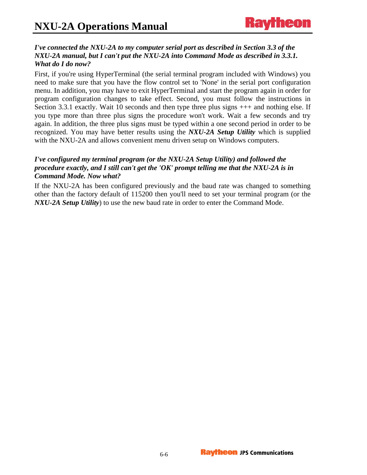#### *I've connected the NXU-2A to my computer serial port as described in Section 3.3 of the NXU-2A manual, but I can't put the NXU-2A into Command Mode as described in 3.3.1. What do I do now?*

First, if you're using HyperTerminal (the serial terminal program included with Windows) you need to make sure that you have the flow control set to 'None' in the serial port configuration menu. In addition, you may have to exit HyperTerminal and start the program again in order for program configuration changes to take effect. Second, you must follow the instructions in Section 3.3.1 exactly. Wait 10 seconds and then type three plus signs +++ and nothing else. If you type more than three plus signs the procedure won't work. Wait a few seconds and try again. In addition, the three plus signs must be typed within a one second period in order to be recognized. You may have better results using the *NXU-2A Setup Utility* which is supplied with the NXU-2A and allows convenient menu driven setup on Windows computers.

#### *I've configured my terminal program (or the NXU-2A Setup Utility) and followed the procedure exactly, and I still can't get the 'OK' prompt telling me that the NXU-2A is in Command Mode. Now what?*

If the NXU-2A has been configured previously and the baud rate was changed to something other than the factory default of 115200 then you'll need to set your terminal program (or the *NXU-2A Setup Utility*) to use the new baud rate in order to enter the Command Mode.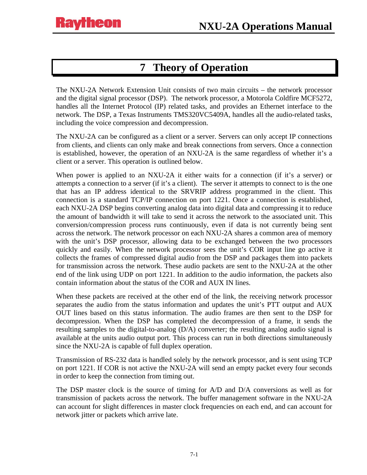### **7 Theory of Operation**

The NXU-2A Network Extension Unit consists of two main circuits – the network processor and the digital signal processor (DSP). The network processor, a Motorola Coldfire MCF5272, handles all the Internet Protocol (IP) related tasks, and provides an Ethernet interface to the network. The DSP, a Texas Instruments TMS320VC5409A, handles all the audio-related tasks, including the voice compression and decompression.

The NXU-2A can be configured as a client or a server. Servers can only accept IP connections from clients, and clients can only make and break connections from servers. Once a connection is established, however, the operation of an NXU-2A is the same regardless of whether it's a client or a server. This operation is outlined below.

When power is applied to an NXU-2A it either waits for a connection (if it's a server) or attempts a connection to a server (if it's a client). The server it attempts to connect to is the one that has an IP address identical to the SRVRIP address programmed in the client. This connection is a standard TCP/IP connection on port 1221. Once a connection is established, each NXU-2A DSP begins converting analog data into digital data and compressing it to reduce the amount of bandwidth it will take to send it across the network to the associated unit. This conversion/compression process runs continuously, even if data is not currently being sent across the network. The network processor on each NXU-2A shares a common area of memory with the unit's DSP processor, allowing data to be exchanged between the two processors quickly and easily. When the network processor sees the unit's COR input line go active it collects the frames of compressed digital audio from the DSP and packages them into packets for transmission across the network. These audio packets are sent to the NXU-2A at the other end of the link using UDP on port 1221. In addition to the audio information, the packets also contain information about the status of the COR and AUX IN lines.

When these packets are received at the other end of the link, the receiving network processor separates the audio from the status information and updates the unit's PTT output and AUX OUT lines based on this status information. The audio frames are then sent to the DSP for decompression. When the DSP has completed the decompression of a frame, it sends the resulting samples to the digital-to-analog (D/A) converter; the resulting analog audio signal is available at the units audio output port. This process can run in both directions simultaneously since the NXU-2A is capable of full duplex operation.

Transmission of RS-232 data is handled solely by the network processor, and is sent using TCP on port 1221. If COR is not active the NXU-2A will send an empty packet every four seconds in order to keep the connection from timing out.

The DSP master clock is the source of timing for A/D and D/A conversions as well as for transmission of packets across the network. The buffer management software in the NXU-2A can account for slight differences in master clock frequencies on each end, and can account for network jitter or packets which arrive late.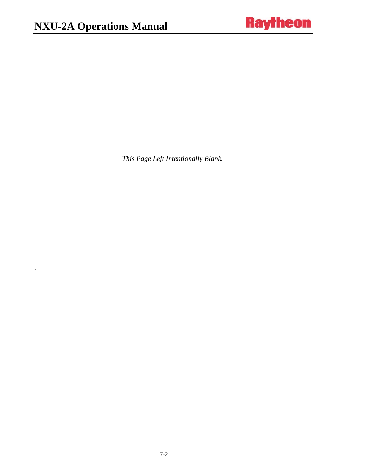*.*

*This Page Left Intentionally Blank.*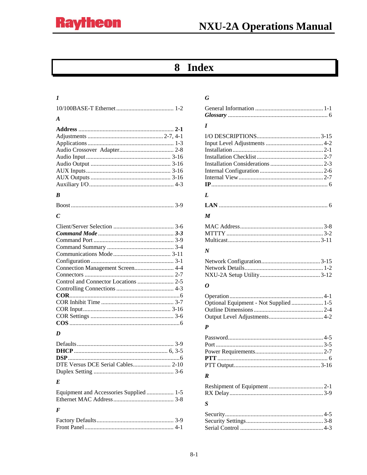## 8 Index

#### $\boldsymbol{l}$

#### $\boldsymbol{B}$

#### $\pmb{C}$

| Connection Management Screen 4-4 |  |
|----------------------------------|--|
|                                  |  |
|                                  |  |
|                                  |  |
|                                  |  |
|                                  |  |
|                                  |  |
|                                  |  |
|                                  |  |

#### $\boldsymbol{D}$

#### $\pmb{E}$

#### $\pmb{F}$

### $\boldsymbol{G}$

#### $\boldsymbol{I}$

#### $\boldsymbol{L}$

#### $\pmb{M}$

#### $\boldsymbol{N}$

#### $\boldsymbol{o}$

| Optional Equipment - Not Supplied 1-5 |  |
|---------------------------------------|--|
|                                       |  |
|                                       |  |

#### $\boldsymbol{P}$

#### $\pmb{R}$

#### $\boldsymbol{S}$